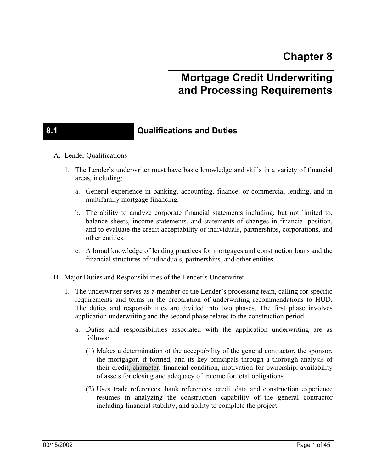# **Mortgage Credit Underwriting and Processing Requirements**

### **8.1 Qualifications and Duties**

- A. Lender Qualifications
	- 1. The Lender's underwriter must have basic knowledge and skills in a variety of financial areas, including:
		- a. General experience in banking, accounting, finance, or commercial lending, and in multifamily mortgage financing.
		- b. The ability to analyze corporate financial statements including, but not limited to, balance sheets, income statements, and statements of changes in financial position, and to evaluate the credit acceptability of individuals, partnerships, corporations, and other entities.
		- c. A broad knowledge of lending practices for mortgages and construction loans and the financial structures of individuals, partnerships, and other entities.
- B. Major Duties and Responsibilities of the Lender's Underwriter
	- 1. The underwriter serves as a member of the Lender's processing team, calling for specific requirements and terms in the preparation of underwriting recommendations to HUD. The duties and responsibilities are divided into two phases. The first phase involves application underwriting and the second phase relates to the construction period.
		- a. Duties and responsibilities associated with the application underwriting are as follows:
			- (1) Makes a determination of the acceptability of the general contractor, the sponsor, the mortgagor, if formed, and its key principals through a thorough analysis of their credit, character, financial condition, motivation for ownership, availability of assets for closing and adequacy of income for total obligations.
			- (2) Uses trade references, bank references, credit data and construction experience resumes in analyzing the construction capability of the general contractor including financial stability, and ability to complete the project.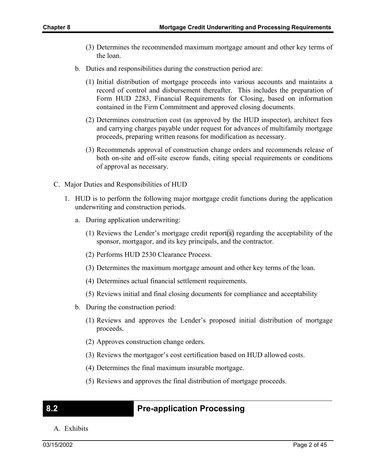- (3) Determines the recommended maximum mortgage amount and other key terms of the loan.
- b. Duties and responsibilities during the construction period are:
	- (1) Initial distribution of mortgage proceeds into various accounts and maintains a record of control and disbursement thereafter. This includes the preparation of Form HUD 2283, Financial Requirements for Closing, based on information contained in the Firm Commitment and approved closing documents.
	- (2) Determines construction cost (as approved by the HUD inspector), architect fees and carrying charges payable under request for advances of multifamily mortgage proceeds, preparing written reasons for modification as necessary.
	- (3) Recommends approval of construction change orders and recommends release of both on-site and off-site escrow funds, citing special requirements or conditions of approval as necessary.
- C. Major Duties and Responsibilities of HUD
	- 1. HUD is to perform the following major mortgage credit functions during the application underwriting and construction periods.
		- a. During application underwriting:
			- (1) Reviews the Lender's mortgage credit report(s) regarding the acceptability of the sponsor, mortgagor, and its key principals, and the contractor.
			- (2) Performs HUD 2530 Clearance Process.
			- (3) Determines the maximum mortgage amount and other key terms of the loan.
			- (4) Determines actual financial settlement requirements.
			- (5) Reviews initial and final closing documents for compliance and acceptability
		- b. During the construction period:
			- (1) Reviews and approves the Lender's proposed initial distribution of mortgage proceeds.
			- (2) Approves construction change orders.
			- (3) Reviews the mortgagor's cost certification based on HUD allowed costs.
			- (4) Determines the final maximum insurable mortgage.
			- (5) Reviews and approves the final distribution of mortgage proceeds.

### **8.2 Pre-application Processing**

A. Exhibits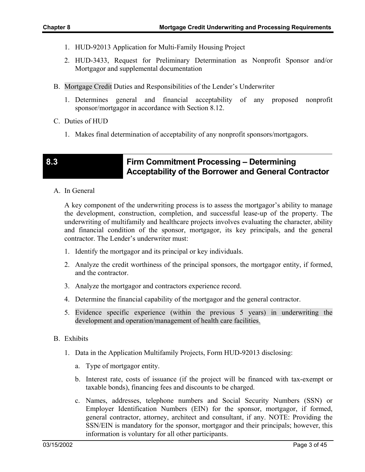- 1. HUD-92013 Application for Multi-Family Housing Project
- 2. HUD-3433, Request for Preliminary Determination as Nonprofit Sponsor and/or Mortgagor and supplemental documentation
- B. Mortgage Credit Duties and Responsibilities of the Lender's Underwriter
	- 1. Determines general and financial acceptability of any proposed nonprofit sponsor/mortgagor in accordance with Section 8.12.
- C. Duties of HUD
	- 1. Makes final determination of acceptability of any nonprofit sponsors/mortgagors.

#### **8.3 Firm Commitment Processing – Determining Acceptability of the Borrower and General Contractor**

A. In General

A key component of the underwriting process is to assess the mortgagor's ability to manage the development, construction, completion, and successful lease-up of the property. The underwriting of multifamily and healthcare projects involves evaluating the character, ability and financial condition of the sponsor, mortgagor, its key principals, and the general contractor. The Lender's underwriter must:

- 1. Identify the mortgagor and its principal or key individuals.
- 2. Analyze the credit worthiness of the principal sponsors, the mortgagor entity, if formed, and the contractor.
- 3. Analyze the mortgagor and contractors experience record.
- 4. Determine the financial capability of the mortgagor and the general contractor.
- 5. Evidence specific experience (within the previous 5 years) in underwriting the development and operation/management of health care facilities.
- B. Exhibits
	- 1. Data in the Application Multifamily Projects, Form HUD-92013 disclosing:
		- a. Type of mortgagor entity.
		- b. Interest rate, costs of issuance (if the project will be financed with tax-exempt or taxable bonds), financing fees and discounts to be charged.
		- c. Names, addresses, telephone numbers and Social Security Numbers (SSN) or Employer Identification Numbers (EIN) for the sponsor, mortgagor, if formed, general contractor, attorney, architect and consultant, if any. NOTE: Providing the SSN/EIN is mandatory for the sponsor, mortgagor and their principals; however, this information is voluntary for all other participants.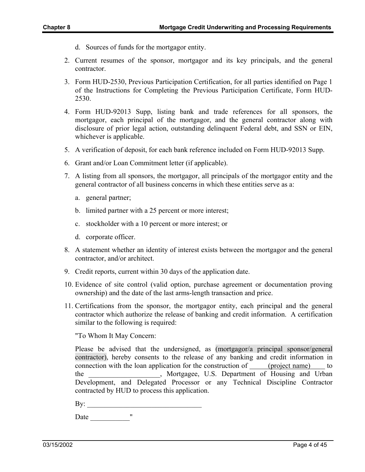- d. Sources of funds for the mortgagor entity.
- 2. Current resumes of the sponsor, mortgagor and its key principals, and the general contractor.
- 3. Form HUD-2530, Previous Participation Certification, for all parties identified on Page 1 of the Instructions for Completing the Previous Participation Certificate, Form HUD-2530.
- 4. Form HUD-92013 Supp, listing bank and trade references for all sponsors, the mortgagor, each principal of the mortgagor, and the general contractor along with disclosure of prior legal action, outstanding delinquent Federal debt, and SSN or EIN, whichever is applicable.
- 5. A verification of deposit, for each bank reference included on Form HUD-92013 Supp.
- 6. Grant and/or Loan Commitment letter (if applicable).
- 7. A listing from all sponsors, the mortgagor, all principals of the mortgagor entity and the general contractor of all business concerns in which these entities serve as a:
	- a. general partner;
	- b. limited partner with a 25 percent or more interest;
	- c. stockholder with a 10 percent or more interest; or
	- d. corporate officer.
- 8. A statement whether an identity of interest exists between the mortgagor and the general contractor, and/or architect.
- 9. Credit reports, current within 30 days of the application date.
- 10. Evidence of site control (valid option, purchase agreement or documentation proving ownership) and the date of the last arms-length transaction and price.
- 11. Certifications from the sponsor, the mortgagor entity, each principal and the general contractor which authorize the release of banking and credit information. A certification similar to the following is required:

"To Whom It May Concern:

Please be advised that the undersigned, as (mortgagor/a principal sponsor/general contractor), hereby consents to the release of any banking and credit information in connection with the loan application for the construction of (project name) to the the Mortgagee, U.S. Department of Housing and Urban Development, and Delegated Processor or any Technical Discipline Contractor contracted by HUD to process this application.

By: \_\_\_\_\_\_\_\_\_\_\_\_\_\_\_\_\_\_\_\_\_\_\_\_\_\_\_\_\_\_\_\_

Date  $\frac{1}{\sqrt{1-\frac{1}{2}}\cdot\frac{1}{2}}$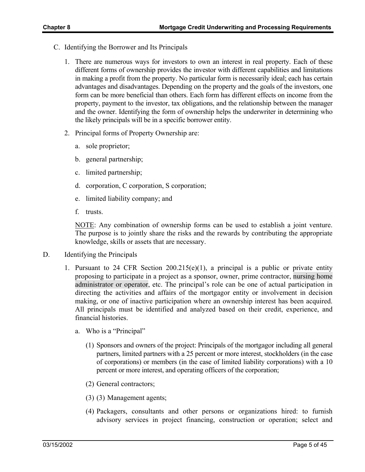- C. Identifying the Borrower and Its Principals
	- 1. There are numerous ways for investors to own an interest in real property. Each of these different forms of ownership provides the investor with different capabilities and limitations in making a profit from the property. No particular form is necessarily ideal; each has certain advantages and disadvantages. Depending on the property and the goals of the investors, one form can be more beneficial than others. Each form has different effects on income from the property, payment to the investor, tax obligations, and the relationship between the manager and the owner. Identifying the form of ownership helps the underwriter in determining who the likely principals will be in a specific borrower entity.
	- 2. Principal forms of Property Ownership are:
		- a. sole proprietor;
		- b. general partnership;
		- c. limited partnership;
		- d. corporation, C corporation, S corporation;
		- e. limited liability company; and
		- f. trusts.

NOTE: Any combination of ownership forms can be used to establish a joint venture. The purpose is to jointly share the risks and the rewards by contributing the appropriate knowledge, skills or assets that are necessary.

- D. Identifying the Principals
	- 1. Pursuant to 24 CFR Section  $200.215(e)(1)$ , a principal is a public or private entity proposing to participate in a project as a sponsor, owner, prime contractor, nursing home administrator or operator, etc. The principal's role can be one of actual participation in directing the activities and affairs of the mortgagor entity or involvement in decision making, or one of inactive participation where an ownership interest has been acquired. All principals must be identified and analyzed based on their credit, experience, and financial histories.
		- a. Who is a "Principal"
			- (1) Sponsors and owners of the project: Principals of the mortgagor including all general partners, limited partners with a 25 percent or more interest, stockholders (in the case of corporations) or members (in the case of limited liability corporations) with a 10 percent or more interest, and operating officers of the corporation;
			- (2) General contractors;
			- (3) (3) Management agents;
			- (4) Packagers, consultants and other persons or organizations hired: to furnish advisory services in project financing, construction or operation; select and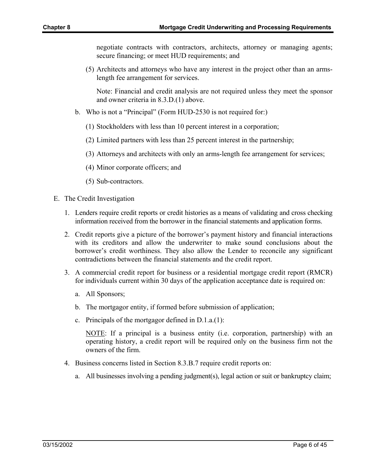negotiate contracts with contractors, architects, attorney or managing agents; secure financing; or meet HUD requirements; and

(5) Architects and attorneys who have any interest in the project other than an armslength fee arrangement for services.

Note: Financial and credit analysis are not required unless they meet the sponsor and owner criteria in 8.3.D.(1) above.

- b. Who is not a "Principal" (Form HUD-2530 is not required for:)
	- (1) Stockholders with less than 10 percent interest in a corporation;
	- (2) Limited partners with less than 25 percent interest in the partnership;
	- (3) Attorneys and architects with only an arms-length fee arrangement for services;
	- (4) Minor corporate officers; and
	- (5) Sub-contractors.
- E. The Credit Investigation
	- 1. Lenders require credit reports or credit histories as a means of validating and cross checking information received from the borrower in the financial statements and application forms.
	- 2. Credit reports give a picture of the borrower's payment history and financial interactions with its creditors and allow the underwriter to make sound conclusions about the borrower's credit worthiness. They also allow the Lender to reconcile any significant contradictions between the financial statements and the credit report.
	- 3. A commercial credit report for business or a residential mortgage credit report (RMCR) for individuals current within 30 days of the application acceptance date is required on:
		- a. All Sponsors;
		- b. The mortgagor entity, if formed before submission of application;
		- c. Principals of the mortgagor defined in D.1.a.(1):

NOTE: If a principal is a business entity (i.e. corporation, partnership) with an operating history, a credit report will be required only on the business firm not the owners of the firm.

- 4. Business concerns listed in Section 8.3.B.7 require credit reports on:
	- a. All businesses involving a pending judgment(s), legal action or suit or bankruptcy claim;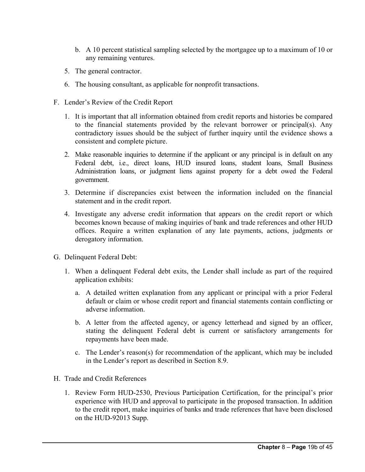- b. A 10 percent statistical sampling selected by the mortgagee up to a maximum of 10 or any remaining ventures.
- 5. The general contractor.
- 6. The housing consultant, as applicable for nonprofit transactions.
- F. Lender's Review of the Credit Report
	- 1. It is important that all information obtained from credit reports and histories be compared to the financial statements provided by the relevant borrower or principal(s). Any contradictory issues should be the subject of further inquiry until the evidence shows a consistent and complete picture.
	- 2. Make reasonable inquiries to determine if the applicant or any principal is in default on any Federal debt, i.e., direct loans, HUD insured loans, student loans, Small Business Administration loans, or judgment liens against property for a debt owed the Federal government.
	- 3. Determine if discrepancies exist between the information included on the financial statement and in the credit report.
	- 4. Investigate any adverse credit information that appears on the credit report or which becomes known because of making inquiries of bank and trade references and other HUD offices. Require a written explanation of any late payments, actions, judgments or derogatory information.
- G. Delinquent Federal Debt:
	- 1. When a delinquent Federal debt exits, the Lender shall include as part of the required application exhibits:
		- a. A detailed written explanation from any applicant or principal with a prior Federal default or claim or whose credit report and financial statements contain conflicting or adverse information.
		- b. A letter from the affected agency, or agency letterhead and signed by an officer, stating the delinquent Federal debt is current or satisfactory arrangements for repayments have been made.
		- c. The Lender's reason(s) for recommendation of the applicant, which may be included in the Lender's report as described in Section 8.9.
- H. Trade and Credit References
	- 1. Review Form HUD-2530, Previous Participation Certification, for the principal's prior experience with HUD and approval to participate in the proposed transaction. In addition to the credit report, make inquiries of banks and trade references that have been disclosed on the HUD-92013 Supp.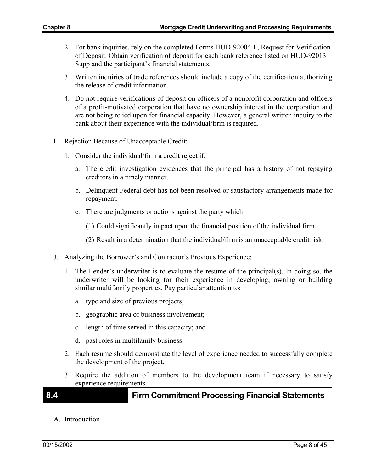- 2. For bank inquiries, rely on the completed Forms HUD-92004-F, Request for Verification of Deposit. Obtain verification of deposit for each bank reference listed on HUD-92013 Supp and the participant's financial statements.
- 3. Written inquiries of trade references should include a copy of the certification authorizing the release of credit information.
- 4. Do not require verifications of deposit on officers of a nonprofit corporation and officers of a profit-motivated corporation that have no ownership interest in the corporation and are not being relied upon for financial capacity. However, a general written inquiry to the bank about their experience with the individual/firm is required.
- I. Rejection Because of Unacceptable Credit:
	- 1. Consider the individual/firm a credit reject if:
		- a. The credit investigation evidences that the principal has a history of not repaying creditors in a timely manner.
		- b. Delinquent Federal debt has not been resolved or satisfactory arrangements made for repayment.
		- c. There are judgments or actions against the party which:
			- (1) Could significantly impact upon the financial position of the individual firm.
			- (2) Result in a determination that the individual/firm is an unacceptable credit risk.
- J. Analyzing the Borrower's and Contractor's Previous Experience:
	- 1. The Lender's underwriter is to evaluate the resume of the principal(s). In doing so, the underwriter will be looking for their experience in developing, owning or building similar multifamily properties. Pay particular attention to:
		- a. type and size of previous projects;
		- b. geographic area of business involvement;
		- c. length of time served in this capacity; and
		- d. past roles in multifamily business.
	- 2. Each resume should demonstrate the level of experience needed to successfully complete the development of the project.
	- 3. Require the addition of members to the development team if necessary to satisfy experience requirements.

#### **8.4 Firm Commitment Processing Financial Statements**

A. Introduction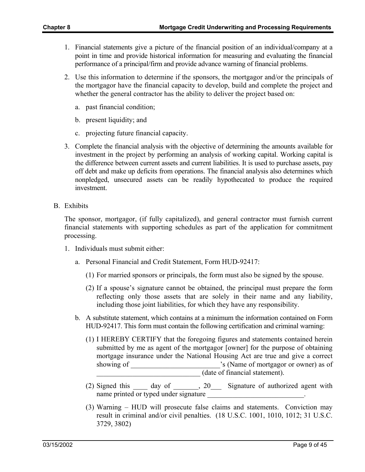- 1. Financial statements give a picture of the financial position of an individual/company at a point in time and provide historical information for measuring and evaluating the financial performance of a principal/firm and provide advance warning of financial problems.
- 2. Use this information to determine if the sponsors, the mortgagor and/or the principals of the mortgagor have the financial capacity to develop, build and complete the project and whether the general contractor has the ability to deliver the project based on:
	- a. past financial condition;
	- b. present liquidity; and
	- c. projecting future financial capacity.
- 3. Complete the financial analysis with the objective of determining the amounts available for investment in the project by performing an analysis of working capital. Working capital is the difference between current assets and current liabilities. It is used to purchase assets, pay off debt and make up deficits from operations. The financial analysis also determines which nonpledged, unsecured assets can be readily hypothecated to produce the required investment.
- B. Exhibits

The sponsor, mortgagor, (if fully capitalized), and general contractor must furnish current financial statements with supporting schedules as part of the application for commitment processing.

- 1. Individuals must submit either:
	- a. Personal Financial and Credit Statement, Form HUD-92417:
		- (1) For married sponsors or principals, the form must also be signed by the spouse.
		- (2) If a spouse's signature cannot be obtained, the principal must prepare the form reflecting only those assets that are solely in their name and any liability, including those joint liabilities, for which they have any responsibility.
	- b. A substitute statement, which contains at a minimum the information contained on Form HUD-92417. This form must contain the following certification and criminal warning:
		- (1) I HEREBY CERTIFY that the foregoing figures and statements contained herein submitted by me as agent of the mortgagor [owner] for the purpose of obtaining mortgage insurance under the National Housing Act are true and give a correct showing of \_\_\_\_\_\_\_\_\_\_\_\_\_\_\_\_\_\_\_\_\_\_\_\_\_'s (Name of mortgagor or owner) as of (date of financial statement).
		- (2) Signed this \_\_\_\_ day of \_\_\_\_\_\_\_, 20\_\_\_ Signature of authorized agent with name printed or typed under signature  $\blacksquare$
		- (3) Warning HUD will prosecute false claims and statements. Conviction may result in criminal and/or civil penalties. (18 U.S.C. 1001, 1010, 1012; 31 U.S.C. 3729, 3802)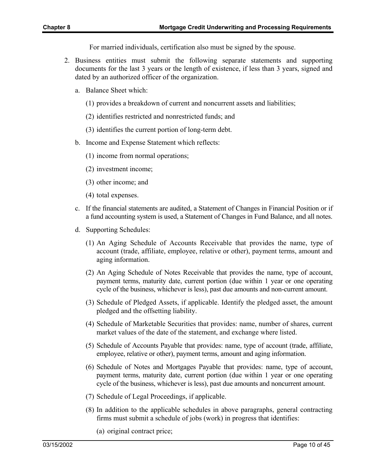For married individuals, certification also must be signed by the spouse.

- 2. Business entities must submit the following separate statements and supporting documents for the last 3 years or the length of existence, if less than 3 years, signed and dated by an authorized officer of the organization.
	- a. Balance Sheet which:
		- (1) provides a breakdown of current and noncurrent assets and liabilities;
		- (2) identifies restricted and nonrestricted funds; and
		- (3) identifies the current portion of long-term debt.
	- b. Income and Expense Statement which reflects:
		- (1) income from normal operations;
		- (2) investment income;
		- (3) other income; and
		- (4) total expenses.
	- c. If the financial statements are audited, a Statement of Changes in Financial Position or if a fund accounting system is used, a Statement of Changes in Fund Balance, and all notes.
	- d. Supporting Schedules:
		- (1) An Aging Schedule of Accounts Receivable that provides the name, type of account (trade, affiliate, employee, relative or other), payment terms, amount and aging information.
		- (2) An Aging Schedule of Notes Receivable that provides the name, type of account, payment terms, maturity date, current portion (due within 1 year or one operating cycle of the business, whichever is less), past due amounts and non-current amount.
		- (3) Schedule of Pledged Assets, if applicable. Identify the pledged asset, the amount pledged and the offsetting liability.
		- (4) Schedule of Marketable Securities that provides: name, number of shares, current market values of the date of the statement, and exchange where listed.
		- (5) Schedule of Accounts Payable that provides: name, type of account (trade, affiliate, employee, relative or other), payment terms, amount and aging information.
		- (6) Schedule of Notes and Mortgages Payable that provides: name, type of account, payment terms, maturity date, current portion (due within 1 year or one operating cycle of the business, whichever is less), past due amounts and noncurrent amount.
		- (7) Schedule of Legal Proceedings, if applicable.
		- (8) In addition to the applicable schedules in above paragraphs, general contracting firms must submit a schedule of jobs (work) in progress that identifies:
			- (a) original contract price;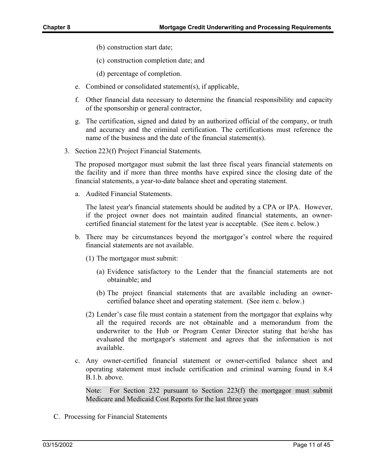- (b) construction start date;
- (c) construction completion date; and
- (d) percentage of completion.
- e. Combined or consolidated statement(s), if applicable,
- f. Other financial data necessary to determine the financial responsibility and capacity of the sponsorship or general contractor,
- g. The certification, signed and dated by an authorized official of the company, or truth and accuracy and the criminal certification. The certifications must reference the name of the business and the date of the financial statement(s).
- 3. Section 223(f) Project Financial Statements.

The proposed mortgagor must submit the last three fiscal years financial statements on the facility and if more than three months have expired since the closing date of the financial statements, a year-to-date balance sheet and operating statement.

a. Audited Financial Statements.

The latest year's financial statements should be audited by a CPA or IPA. However, if the project owner does not maintain audited financial statements, an ownercertified financial statement for the latest year is acceptable. (See item c. below.)

- b. There may be circumstances beyond the mortgagor's control where the required financial statements are not available.
	- (1) The mortgagor must submit:
		- (a) Evidence satisfactory to the Lender that the financial statements are not obtainable; and
		- (b) The project financial statements that are available including an ownercertified balance sheet and operating statement. (See item c. below.)
	- (2) Lender's case file must contain a statement from the mortgagor that explains why all the required records are not obtainable and a memorandum from the underwriter to the Hub or Program Center Director stating that he/she has evaluated the mortgagor's statement and agrees that the information is not available.
- c. Any owner-certified financial statement or owner-certified balance sheet and operating statement must include certification and criminal warning found in 8.4 B.1.b. above.

Note: For Section 232 pursuant to Section 223(f) the mortgagor must submit Medicare and Medicaid Cost Reports for the last three years

C. Processing for Financial Statements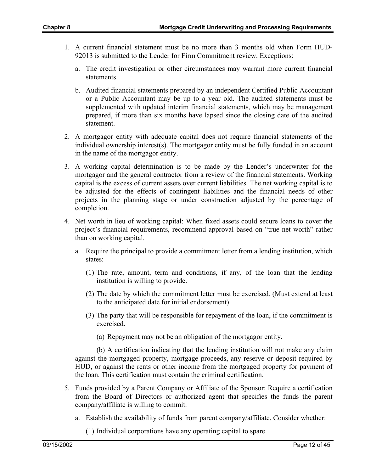- 1. A current financial statement must be no more than 3 months old when Form HUD-92013 is submitted to the Lender for Firm Commitment review. Exceptions:
	- a. The credit investigation or other circumstances may warrant more current financial statements.
	- b. Audited financial statements prepared by an independent Certified Public Accountant or a Public Accountant may be up to a year old. The audited statements must be supplemented with updated interim financial statements, which may be management prepared, if more than six months have lapsed since the closing date of the audited statement.
- 2. A mortgagor entity with adequate capital does not require financial statements of the individual ownership interest(s). The mortgagor entity must be fully funded in an account in the name of the mortgagor entity.
- 3. A working capital determination is to be made by the Lender's underwriter for the mortgagor and the general contractor from a review of the financial statements. Working capital is the excess of current assets over current liabilities. The net working capital is to be adjusted for the effects of contingent liabilities and the financial needs of other projects in the planning stage or under construction adjusted by the percentage of completion.
- 4. Net worth in lieu of working capital: When fixed assets could secure loans to cover the project's financial requirements, recommend approval based on "true net worth" rather than on working capital.
	- a. Require the principal to provide a commitment letter from a lending institution, which states:
		- (1) The rate, amount, term and conditions, if any, of the loan that the lending institution is willing to provide.
		- (2) The date by which the commitment letter must be exercised. (Must extend at least to the anticipated date for initial endorsement).
		- (3) The party that will be responsible for repayment of the loan, if the commitment is exercised.
			- (a) Repayment may not be an obligation of the mortgagor entity.

(b) A certification indicating that the lending institution will not make any claim against the mortgaged property, mortgage proceeds, any reserve or deposit required by HUD, or against the rents or other income from the mortgaged property for payment of the loan. This certification must contain the criminal certification.

- 5. Funds provided by a Parent Company or Affiliate of the Sponsor: Require a certification from the Board of Directors or authorized agent that specifies the funds the parent company/affiliate is willing to commit.
	- a. Establish the availability of funds from parent company/affiliate. Consider whether:

(1) Individual corporations have any operating capital to spare.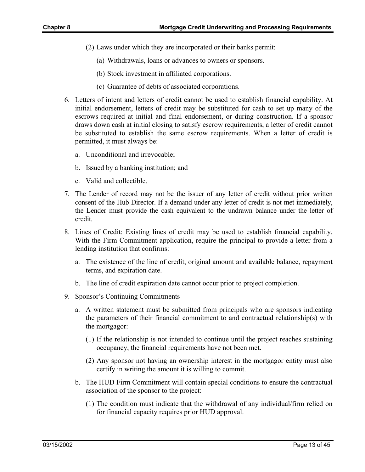- (2) Laws under which they are incorporated or their banks permit:
	- (a) Withdrawals, loans or advances to owners or sponsors.
	- (b) Stock investment in affiliated corporations.
	- (c) Guarantee of debts of associated corporations.
- 6. Letters of intent and letters of credit cannot be used to establish financial capability. At initial endorsement, letters of credit may be substituted for cash to set up many of the escrows required at initial and final endorsement, or during construction. If a sponsor draws down cash at initial closing to satisfy escrow requirements, a letter of credit cannot be substituted to establish the same escrow requirements. When a letter of credit is permitted, it must always be:
	- a. Unconditional and irrevocable;
	- b. Issued by a banking institution; and
	- c. Valid and collectible.
- 7. The Lender of record may not be the issuer of any letter of credit without prior written consent of the Hub Director. If a demand under any letter of credit is not met immediately, the Lender must provide the cash equivalent to the undrawn balance under the letter of credit.
- 8. Lines of Credit: Existing lines of credit may be used to establish financial capability. With the Firm Commitment application, require the principal to provide a letter from a lending institution that confirms:
	- a. The existence of the line of credit, original amount and available balance, repayment terms, and expiration date.
	- b. The line of credit expiration date cannot occur prior to project completion.
- 9. Sponsor's Continuing Commitments
	- a. A written statement must be submitted from principals who are sponsors indicating the parameters of their financial commitment to and contractual relationship(s) with the mortgagor:
		- (1) If the relationship is not intended to continue until the project reaches sustaining occupancy, the financial requirements have not been met.
		- (2) Any sponsor not having an ownership interest in the mortgagor entity must also certify in writing the amount it is willing to commit.
	- b. The HUD Firm Commitment will contain special conditions to ensure the contractual association of the sponsor to the project:
		- (1) The condition must indicate that the withdrawal of any individual/firm relied on for financial capacity requires prior HUD approval.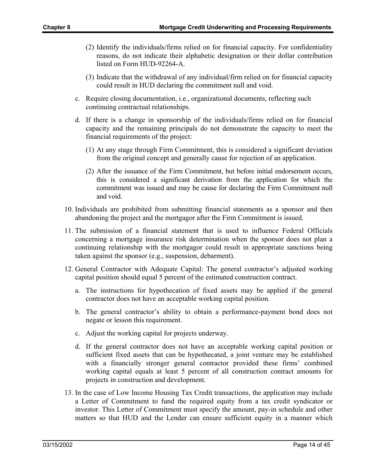- (2) Identify the individuals/firms relied on for financial capacity. For confidentiality reasons, do not indicate their alphabetic designation or their dollar contribution listed on Form HUD-92264-A.
- (3) Indicate that the withdrawal of any individual/firm relied on for financial capacity could result in HUD declaring the commitment null and void.
- c. Require closing documentation, i.e., organizational documents, reflecting such continuing contractual relationships.
- d. If there is a change in sponsorship of the individuals/firms relied on for financial capacity and the remaining principals do not demonstrate the capacity to meet the financial requirements of the project:
	- (1) At any stage through Firm Commitment, this is considered a significant deviation from the original concept and generally cause for rejection of an application.
	- (2) After the issuance of the Firm Commitment, but before initial endorsement occurs, this is considered a significant derivation from the application for which the commitment was issued and may be cause for declaring the Firm Commitment null and void.
- 10. Individuals are prohibited from submitting financial statements as a sponsor and then abandoning the project and the mortgagor after the Firm Commitment is issued.
- 11. The submission of a financial statement that is used to influence Federal Officials concerning a mortgage insurance risk determination when the sponsor does not plan a continuing relationship with the mortgagor could result in appropriate sanctions being taken against the sponsor (e.g., suspension, debarment).
- 12. General Contractor with Adequate Capital: The general contractor's adjusted working capital position should equal 5 percent of the estimated construction contract.
	- a. The instructions for hypothecation of fixed assets may be applied if the general contractor does not have an acceptable working capital position.
	- b. The general contractor's ability to obtain a performance-payment bond does not negate or lesson this requirement.
	- c. Adjust the working capital for projects underway.
	- d. If the general contractor does not have an acceptable working capital position or sufficient fixed assets that can be hypothecated, a joint venture may be established with a financially stronger general contractor provided these firms' combined working capital equals at least 5 percent of all construction contract amounts for projects in construction and development.
- 13. In the case of Low Income Housing Tax Credit transactions, the application may include a Letter of Commitment to fund the required equity from a tax credit syndicator or investor. This Letter of Commitment must specify the amount, pay-in schedule and other matters so that HUD and the Lender can ensure sufficient equity in a manner which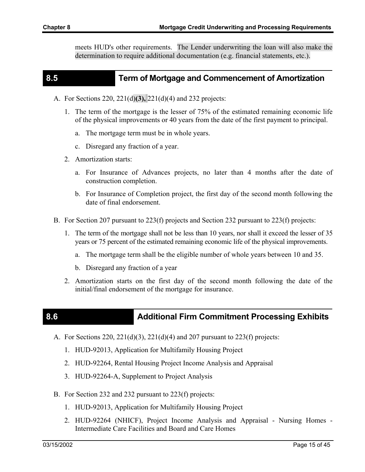meets HUD's other requirements. The Lender underwriting the loan will also make the determination to require additional documentation (e.g. financial statements, etc.).

#### **8.5 Term of Mortgage and Commencement of Amortization**

- A. For Sections 220, 221(d)**(3),** 221(d)(4) and 232 projects:
	- 1. The term of the mortgage is the lesser of 75% of the estimated remaining economic life of the physical improvements or 40 years from the date of the first payment to principal.
		- a. The mortgage term must be in whole years.
		- c. Disregard any fraction of a year.
	- 2. Amortization starts:
		- a. For Insurance of Advances projects, no later than 4 months after the date of construction completion.
		- b. For Insurance of Completion project, the first day of the second month following the date of final endorsement.
- B. For Section 207 pursuant to 223(f) projects and Section 232 pursuant to 223(f) projects:
	- 1. The term of the mortgage shall not be less than 10 years, nor shall it exceed the lesser of 35 years or 75 percent of the estimated remaining economic life of the physical improvements.
		- a. The mortgage term shall be the eligible number of whole years between 10 and 35.
		- b. Disregard any fraction of a year
	- 2. Amortization starts on the first day of the second month following the date of the initial/final endorsement of the mortgage for insurance.

## **8.6 <b>Additional Firm Commitment Processing Exhibits Additional Firm Commitment Processing Exhibits**

- A. For Sections 220,  $221(d)(3)$ ,  $221(d)(4)$  and 207 pursuant to 223(f) projects:
	- 1. HUD-92013, Application for Multifamily Housing Project
	- 2. HUD-92264, Rental Housing Project Income Analysis and Appraisal
	- 3. HUD-92264-A, Supplement to Project Analysis
- B. For Section 232 and 232 pursuant to 223(f) projects:
	- 1. HUD-92013, Application for Multifamily Housing Project
	- 2. HUD-92264 (NHICF), Project Income Analysis and Appraisal Nursing Homes Intermediate Care Facilities and Board and Care Homes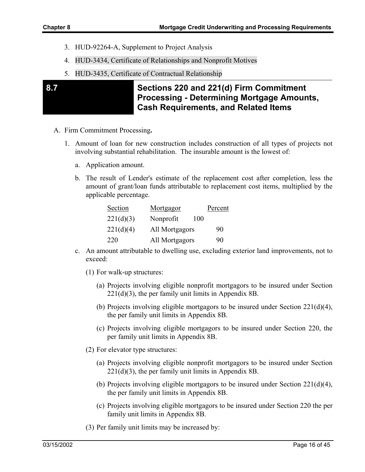- 3. HUD-92264-A, Supplement to Project Analysis
- 4. HUD-3434, Certificate of Relationships and Nonprofit Motives
- 5. HUD-3435, Certificate of Contractual Relationship

### **8.7 Sections 220 and 221(d) Firm Commitment Processing - Determining Mortgage Amounts, Cash Requirements, and Related Items**

- A. Firm Commitment Processing**.** 
	- 1. Amount of loan for new construction includes construction of all types of projects not involving substantial rehabilitation. The insurable amount is the lowest of:
		- a. Application amount.
		- b. The result of Lender's estimate of the replacement cost after completion, less the amount of grant/loan funds attributable to replacement cost items, multiplied by the applicable percentage.

| Section   | Mortgagor        | Percent |
|-----------|------------------|---------|
| 221(d)(3) | Nonprofit<br>100 |         |
| 221(d)(4) | All Mortgagors   | 90      |
| 220       | All Mortgagors   | 90      |

- c. An amount attributable to dwelling use, excluding exterior land improvements, not to exceed:
	- (1) For walk-up structures:
		- (a) Projects involving eligible nonprofit mortgagors to be insured under Section  $221(d)(3)$ , the per family unit limits in Appendix 8B.
		- (b) Projects involving eligible mortgagors to be insured under Section 221(d)(4), the per family unit limits in Appendix 8B.
		- (c) Projects involving eligible mortgagors to be insured under Section 220, the per family unit limits in Appendix 8B.
	- (2) For elevator type structures:
		- (a) Projects involving eligible nonprofit mortgagors to be insured under Section  $221(d)(3)$ , the per family unit limits in Appendix 8B.
		- (b) Projects involving eligible mortgagors to be insured under Section 221(d)(4), the per family unit limits in Appendix 8B.
		- (c) Projects involving eligible mortgagors to be insured under Section 220 the per family unit limits in Appendix 8B.
	- (3) Per family unit limits may be increased by: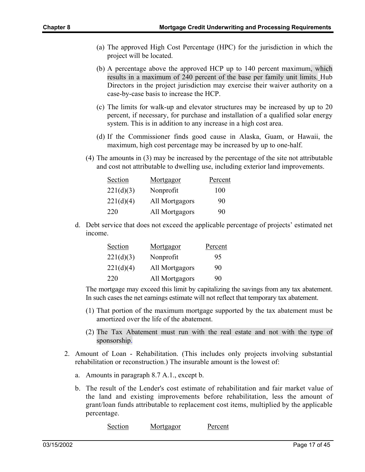- (a) The approved High Cost Percentage (HPC) for the jurisdiction in which the project will be located.
- (b) A percentage above the approved HCP up to 140 percent maximum, which results in a maximum of 240 percent of the base per family unit limits. Hub Directors in the project jurisdiction may exercise their waiver authority on a case-by-case basis to increase the HCP.
- (c) The limits for walk-up and elevator structures may be increased by up to 20 percent, if necessary, for purchase and installation of a qualified solar energy system. This is in addition to any increase in a high cost area.
- (d) If the Commissioner finds good cause in Alaska, Guam, or Hawaii, the maximum, high cost percentage may be increased by up to one-half.
- (4) The amounts in (3) may be increased by the percentage of the site not attributable and cost not attributable to dwelling use, including exterior land improvements.

| Section   | <u>Mortgagor</u> | Percent |
|-----------|------------------|---------|
| 221(d)(3) | Nonprofit        | 100     |
| 221(d)(4) | All Mortgagors   | 90      |
| 220       | All Mortgagors   | 90      |

d. Debt service that does not exceed the applicable percentage of projects' estimated net income.

| Section   | <u>Mortgagor</u> | Percent |
|-----------|------------------|---------|
| 221(d)(3) | Nonprofit        | 95      |
| 221(d)(4) | All Mortgagors   | 90      |
| 220       | All Mortgagors   | 90      |

The mortgage may exceed this limit by capitalizing the savings from any tax abatement. In such cases the net earnings estimate will not reflect that temporary tax abatement.

- (1) That portion of the maximum mortgage supported by the tax abatement must be amortized over the life of the abatement.
- (2) The Tax Abatement must run with the real estate and not with the type of sponsorship.
- 2. Amount of Loan Rehabilitation. (This includes only projects involving substantial rehabilitation or reconstruction.) The insurable amount is the lowest of:
	- a. Amounts in paragraph 8.7 A.1., except b.
	- b. The result of the Lender's cost estimate of rehabilitation and fair market value of the land and existing improvements before rehabilitation, less the amount of grant/loan funds attributable to replacement cost items, multiplied by the applicable percentage.

Section Mortgagor Percent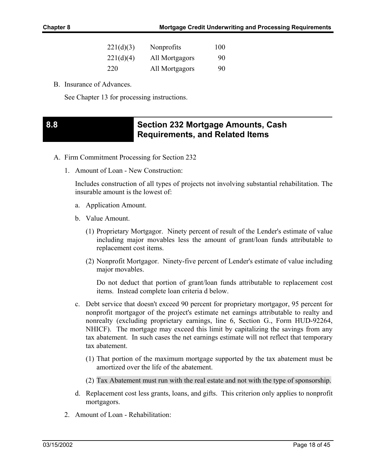| 221(d)(3) | Nonprofits     | 100 |
|-----------|----------------|-----|
| 221(d)(4) | All Mortgagors | 90  |
| 220       | All Mortgagors | 90  |

B. Insurance of Advances.

See Chapter 13 for processing instructions.

## **8.8 Section 232 Mortgage Amounts, Cash Requirements, and Related Items**

- A. Firm Commitment Processing for Section 232
	- 1. Amount of Loan New Construction:

Includes construction of all types of projects not involving substantial rehabilitation. The insurable amount is the lowest of:

- a. Application Amount.
- b. Value Amount.
	- (1) Proprietary Mortgagor. Ninety percent of result of the Lender's estimate of value including major movables less the amount of grant/loan funds attributable to replacement cost items.
	- (2) Nonprofit Mortgagor. Ninety-five percent of Lender's estimate of value including major movables.

Do not deduct that portion of grant/loan funds attributable to replacement cost items. Instead complete loan criteria d below.

- c. Debt service that doesn't exceed 90 percent for proprietary mortgagor, 95 percent for nonprofit mortgagor of the project's estimate net earnings attributable to realty and nonrealty (excluding proprietary earnings, line 6, Section G., Form HUD-92264, NHICF). The mortgage may exceed this limit by capitalizing the savings from any tax abatement. In such cases the net earnings estimate will not reflect that temporary tax abatement.
	- (1) That portion of the maximum mortgage supported by the tax abatement must be amortized over the life of the abatement.
	- (2) Tax Abatement must run with the real estate and not with the type of sponsorship.
- d. Replacement cost less grants, loans, and gifts. This criterion only applies to nonprofit mortgagors.
- 2. Amount of Loan Rehabilitation: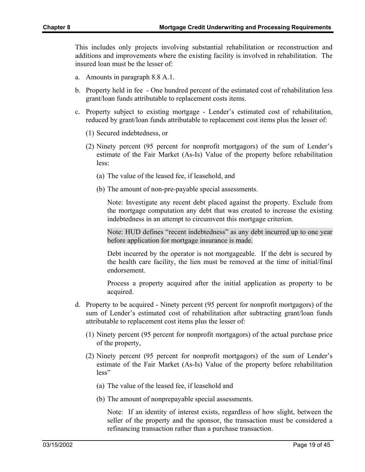This includes only projects involving substantial rehabilitation or reconstruction and additions and improvements where the existing facility is involved in rehabilitation. The insured loan must be the lesser of:

- a. Amounts in paragraph 8.8 A.1.
- b. Property held in fee One hundred percent of the estimated cost of rehabilitation less grant/loan funds attributable to replacement costs items.
- c. Property subject to existing mortgage Lender's estimated cost of rehabilitation, reduced by grant/loan funds attributable to replacement cost items plus the lesser of:
	- (1) Secured indebtedness, or
	- (2) Ninety percent (95 percent for nonprofit mortgagors) of the sum of Lender's estimate of the Fair Market (As-Is) Value of the property before rehabilitation less:
		- (a) The value of the leased fee, if leasehold, and
		- (b) The amount of non-pre-payable special assessments.

Note: Investigate any recent debt placed against the property. Exclude from the mortgage computation any debt that was created to increase the existing indebtedness in an attempt to circumvent this mortgage criterion.

Note: HUD defines "recent indebtedness" as any debt incurred up to one year before application for mortgage insurance is made.

Debt incurred by the operator is not mortgageable. If the debt is secured by the health care facility, the lien must be removed at the time of initial/final endorsement.

Process a property acquired after the initial application as property to be acquired.

- d. Property to be acquired Ninety percent (95 percent for nonprofit mortgagors) of the sum of Lender's estimated cost of rehabilitation after subtracting grant/loan funds attributable to replacement cost items plus the lesser of:
	- (1) Ninety percent (95 percent for nonprofit mortgagors) of the actual purchase price of the property,
	- (2) Ninety percent (95 percent for nonprofit mortgagors) of the sum of Lender's estimate of the Fair Market (As-Is) Value of the property before rehabilitation less"
		- (a) The value of the leased fee, if leasehold and
		- (b) The amount of nonprepayable special assessments.

Note: If an identity of interest exists, regardless of how slight, between the seller of the property and the sponsor, the transaction must be considered a refinancing transaction rather than a purchase transaction.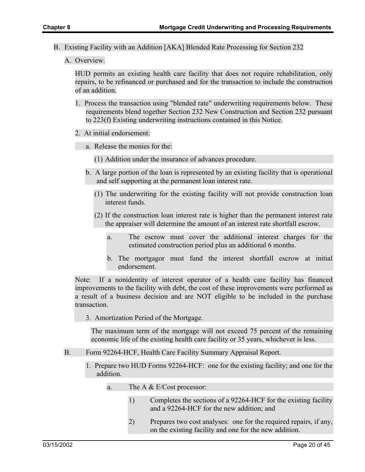- B. Existing Facility with an Addition [AKA] Blended Rate Processing for Section 232
	- A. Overview.

HUD permits an existing health care facility that does not require rehabilitation, only repairs, to be refinanced or purchased and for the transaction to include the construction of an addition.

- 1. Process the transaction using "blended rate" underwriting requirements below. These requirements blend together Section 232 New Construction and Section 232 pursuant to 223(f) Existing underwriting instructions contained in this Notice.
- 2. At initial endorsement:
	- a. Release the monies for the:
		- (1) Addition under the insurance of advances procedure.
	- b. A large portion of the loan is represented by an existing facility that is operational and self supporting at the permanent loan interest rate.
		- (1) The underwriting for the existing facility will not provide construction loan interest funds.
		- (2) If the construction loan interest rate is higher than the permanent interest rate the appraiser will determine the amount of an interest rate shortfall escrow.
			- a. The escrow must cover the additional interest charges for the estimated construction period plus an additional 6 months.
			- b. The mortgagor must fund the interest shortfall escrow at initial endorsement.

Note: If a nonidentity of interest operator of a health care facility has financed improvements to the facility with debt, the cost of these improvements were performed as a result of a business decision and are NOT eligible to be included in the purchase transaction.

3. Amortization Period of the Mortgage.

The maximum term of the mortgage will not exceed 75 percent of the remaining economic life of the existing health care facility or 35 years, whichever is less.

- B. Form 92264-HCF, Health Care Facility Summary Appraisal Report.
	- 1. Prepare two HUD Forms 92264-HCF: one for the existing facility; and one for the addition.
		- a. The A & E/Cost processor:
			- 1) Completes the sections of a 92264-HCF for the existing facility and a 92264-HCF for the new addition; and
			- 2) Prepares two cost analyses: one for the required repairs, if any, on the existing facility and one for the new addition.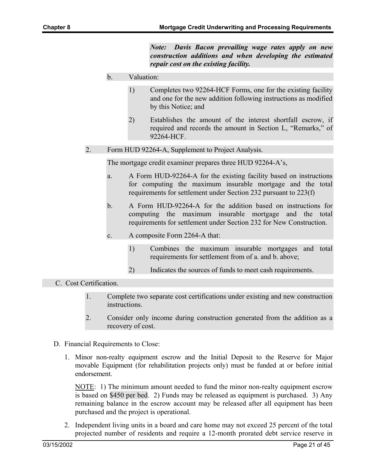*Note: Davis Bacon prevailing wage rates apply on new construction additions and when developing the estimated repair cost on the existing facility.* 

- b. Valuation:
	- 1) Completes two 92264-HCF Forms, one for the existing facility and one for the new addition following instructions as modified by this Notice; and
	- 2) Establishes the amount of the interest shortfall escrow, if required and records the amount in Section L, "Remarks," of 92264-HCF.
- 2. Form HUD 92264-A, Supplement to Project Analysis.

The mortgage credit examiner prepares three HUD 92264-A's,

- a. A Form HUD-92264-A for the existing facility based on instructions for computing the maximum insurable mortgage and the total requirements for settlement under Section 232 pursuant to 223(f)
- b. A Form HUD-92264-A for the addition based on instructions for computing the maximum insurable mortgage and the total requirements for settlement under Section 232 for New Construction.
- c. A composite Form 2264-A that:
	- 1) Combines the maximum insurable mortgages and total requirements for settlement from of a. and b. above;
	- 2) Indicates the sources of funds to meet cash requirements.

#### C. Cost Certification.

- 1. Complete two separate cost certifications under existing and new construction instructions.
- 2. Consider only income during construction generated from the addition as a recovery of cost.
- D. Financial Requirements to Close:
	- 1. Minor non-realty equipment escrow and the Initial Deposit to the Reserve for Major movable Equipment (for rehabilitation projects only) must be funded at or before initial endorsement.

NOTE: 1) The minimum amount needed to fund the minor non-realty equipment escrow is based on \$450 per bed. 2) Funds may be released as equipment is purchased. 3) Any remaining balance in the escrow account may be released after all equipment has been purchased and the project is operational.

2. Independent living units in a board and care home may not exceed 25 percent of the total projected number of residents and require a 12-month prorated debt service reserve in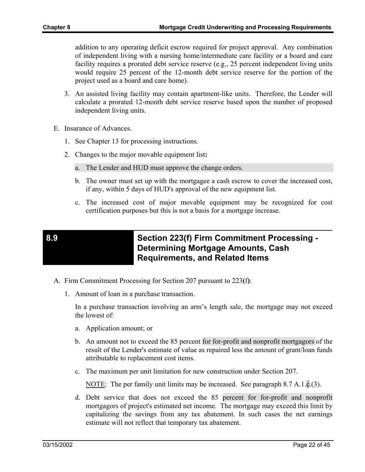addition to any operating deficit escrow required for project approval. Any combination of independent living with a nursing home/intermediate care facility or a board and care facility requires a prorated debt service reserve (e.g., 25 percent independent living units would require 25 percent of the 12-month debt service reserve for the portion of the project used as a board and care home).

- 3. An assisted living facility may contain apartment-like units. Therefore, the Lender will calculate a prorated 12-month debt service reserve based upon the number of proposed independent living units.
- E. Insurance of Advances.
	- 1. See Chapter 13 for processing instructions.
	- 2. Changes to the major movable equipment list**:**
		- a. The Lender and HUD must approve the change orders.
		- b. The owner must set up with the mortgagee a cash escrow to cover the increased cost, if any, within 5 days of HUD's approval of the new equipment list.
		- c. The increased cost of major movable equipment may be recognized for cost certification purposes but this is not a basis for a mortgage increase.

### **8.9 Section 223(f) Firm Commitment Processing - Determining Mortgage Amounts, Cash Requirements, and Related Items**

- A. Firm Commitment Processing for Section 207 pursuant to 223**(**f**)**:
	- 1. Amount of loan in a purchase transaction.

In a purchase transaction involving an arm's length sale, the mortgage may not exceed the lowest of:

- a. Application amount; or
- b. An amount not to exceed the 85 percent for for-profit and nonprofit mortgagors of the result of the Lender's estimate of value as repaired less the amount of grant/loan funds attributable to replacement cost items.
- c. The maximum per unit limitation for new construction under Section 207.

NOTE: The per family unit limits may be increased. See paragraph 8.7 A.1.c.(3).

d. Debt service that does not exceed the 85 percent for for-profit and nonprofit mortgagors of project's estimated net income. The mortgage may exceed this limit by capitalizing the savings from any tax abatement. In such cases the net earnings estimate will not reflect that temporary tax abatement.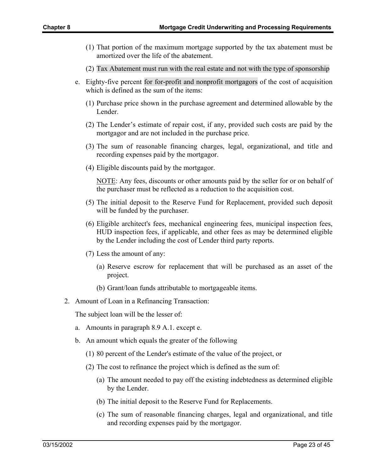- (1) That portion of the maximum mortgage supported by the tax abatement must be amortized over the life of the abatement.
- (2) Tax Abatement must run with the real estate and not with the type of sponsorship
- e. Eighty-five percent for for-profit and nonprofit mortgagors of the cost of acquisition which is defined as the sum of the items:
	- (1) Purchase price shown in the purchase agreement and determined allowable by the Lender.
	- (2) The Lender's estimate of repair cost, if any, provided such costs are paid by the mortgagor and are not included in the purchase price.
	- (3) The sum of reasonable financing charges, legal, organizational, and title and recording expenses paid by the mortgagor.
	- (4) Eligible discounts paid by the mortgagor.

NOTE: Any fees, discounts or other amounts paid by the seller for or on behalf of the purchaser must be reflected as a reduction to the acquisition cost.

- (5) The initial deposit to the Reserve Fund for Replacement, provided such deposit will be funded by the purchaser.
- (6) Eligible architect's fees, mechanical engineering fees, municipal inspection fees, HUD inspection fees, if applicable, and other fees as may be determined eligible by the Lender including the cost of Lender third party reports.
- (7) Less the amount of any:
	- (a) Reserve escrow for replacement that will be purchased as an asset of the project.
	- (b) Grant/loan funds attributable to mortgageable items.
- 2. Amount of Loan in a Refinancing Transaction:

The subject loan will be the lesser of:

- a. Amounts in paragraph 8.9 A.1. except e.
- b. An amount which equals the greater of the following
	- (1) 80 percent of the Lender's estimate of the value of the project, or
	- (2) The cost to refinance the project which is defined as the sum of:
		- (a) The amount needed to pay off the existing indebtedness as determined eligible by the Lender.
		- (b) The initial deposit to the Reserve Fund for Replacements.
		- (c) The sum of reasonable financing charges, legal and organizational, and title and recording expenses paid by the mortgagor.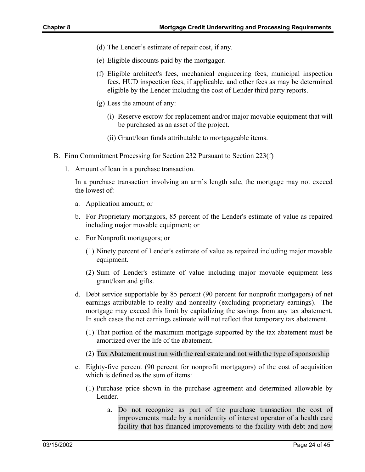- (d) The Lender's estimate of repair cost, if any.
- (e) Eligible discounts paid by the mortgagor.
- (f) Eligible architect's fees, mechanical engineering fees, municipal inspection fees, HUD inspection fees, if applicable, and other fees as may be determined eligible by the Lender including the cost of Lender third party reports.
- (g) Less the amount of any:
	- (i) Reserve escrow for replacement and/or major movable equipment that will be purchased as an asset of the project.
	- (ii) Grant/loan funds attributable to mortgageable items.
- B. Firm Commitment Processing for Section 232 Pursuant to Section 223(f)
	- 1. Amount of loan in a purchase transaction.

In a purchase transaction involving an arm's length sale, the mortgage may not exceed the lowest of:

- a. Application amount; or
- b. For Proprietary mortgagors, 85 percent of the Lender's estimate of value as repaired including major movable equipment; or
- c. For Nonprofit mortgagors; or
	- (1) Ninety percent of Lender's estimate of value as repaired including major movable equipment.
	- (2) Sum of Lender's estimate of value including major movable equipment less grant/loan and gifts.
- d. Debt service supportable by 85 percent (90 percent for nonprofit mortgagors) of net earnings attributable to realty and nonrealty (excluding proprietary earnings). The mortgage may exceed this limit by capitalizing the savings from any tax abatement. In such cases the net earnings estimate will not reflect that temporary tax abatement.
	- (1) That portion of the maximum mortgage supported by the tax abatement must be amortized over the life of the abatement.
	- (2) Tax Abatement must run with the real estate and not with the type of sponsorship
- e. Eighty-five percent (90 percent for nonprofit mortgagors) of the cost of acquisition which is defined as the sum of items:
	- (1) Purchase price shown in the purchase agreement and determined allowable by Lender.
		- a. Do not recognize as part of the purchase transaction the cost of improvements made by a nonidentity of interest operator of a health care facility that has financed improvements to the facility with debt and now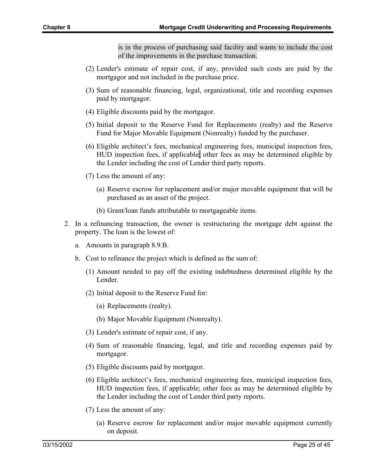is in the process of purchasing said facility and wants to include the cost of the improvements in the purchase transaction.

- (2) Lender's estimate of repair cost, if any, provided such costs are paid by the mortgagor and not included in the purchase price.
- (3) Sum of reasonable financing, legal, organizational, title and recording expenses paid by mortgagor.
- (4) Eligible discounts paid by the mortgagor.
- (5) Initial deposit to the Reserve Fund for Replacements (realty) and the Reserve Fund for Major Movable Equipment (Nonrealty) funded by the purchaser.
- (6) Eligible architect's fees, mechanical engineering fees, municipal inspection fees, HUD inspection fees, if applicable; other fees as may be determined eligible by the Lender including the cost of Lender third party reports.
- (7) Less the amount of any:
	- (a) Reserve escrow for replacement and/or major movable equipment that will be purchased as an asset of the project.
	- (b) Grant/loan funds attributable to mortgageable items.
- 2. In a refinancing transaction, the owner is restructuring the mortgage debt against the property. The loan is the lowest of:
	- a. Amounts in paragraph 8.9.B.
	- b. Cost to refinance the project which is defined as the sum of:
		- (1) Amount needed to pay off the existing indebtedness determined eligible by the Lender.
		- (2) Initial deposit to the Reserve Fund for:
			- (a) Replacements (realty).
			- (b) Major Movable Equipment (Nonrealty).
		- (3) Lender's estimate of repair cost, if any.
		- (4) Sum of reasonable financing, legal, and title and recording expenses paid by mortgagor.
		- (5) Eligible discounts paid by mortgagor.
		- (6) Eligible architect's fees, mechanical engineering fees, municipal inspection fees, HUD inspection fees, if applicable; other fees as may be determined eligible by the Lender including the cost of Lender third party reports.
		- (7) Less the amount of any:
			- (a) Reserve escrow for replacement and/or major movable equipment currently on deposit.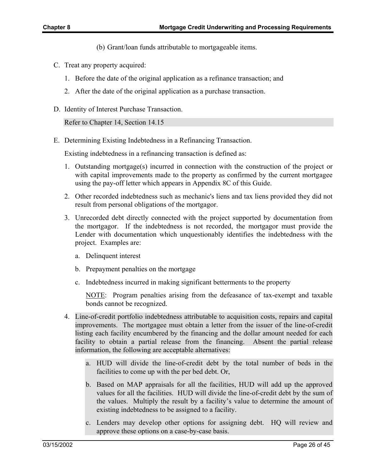- (b) Grant/loan funds attributable to mortgageable items.
- C. Treat any property acquired:
	- 1. Before the date of the original application as a refinance transaction; and
	- 2. After the date of the original application as a purchase transaction.
- D. Identity of Interest Purchase Transaction.

Refer to Chapter 14, Section 14.15

E. Determining Existing Indebtedness in a Refinancing Transaction.

Existing indebtedness in a refinancing transaction is defined as:

- 1. Outstanding mortgage(s) incurred in connection with the construction of the project or with capital improvements made to the property as confirmed by the current mortgagee using the pay-off letter which appears in Appendix 8C of this Guide.
- 2. Other recorded indebtedness such as mechanic's liens and tax liens provided they did not result from personal obligations of the mortgagor.
- 3. Unrecorded debt directly connected with the project supported by documentation from the mortgagor. If the indebtedness is not recorded, the mortgagor must provide the Lender with documentation which unquestionably identifies the indebtedness with the project. Examples are:
	- a. Delinquent interest
	- b. Prepayment penalties on the mortgage
	- c. Indebtedness incurred in making significant betterments to the property

NOTE: Program penalties arising from the defeasance of tax-exempt and taxable bonds cannot be recognized.

- 4. Line-of-credit portfolio indebtedness attributable to acquisition costs, repairs and capital improvements. The mortgagee must obtain a letter from the issuer of the line-of-credit listing each facility encumbered by the financing and the dollar amount needed for each facility to obtain a partial release from the financing. Absent the partial release information, the following are acceptable alternatives:
	- a. HUD will divide the line-of-credit debt by the total number of beds in the facilities to come up with the per bed debt. Or,
	- b. Based on MAP appraisals for all the facilities, HUD will add up the approved values for all the facilities. HUD will divide the line-of-credit debt by the sum of the values. Multiply the result by a facility's value to determine the amount of existing indebtedness to be assigned to a facility.
	- c. Lenders may develop other options for assigning debt. HQ will review and approve these options on a case-by-case basis.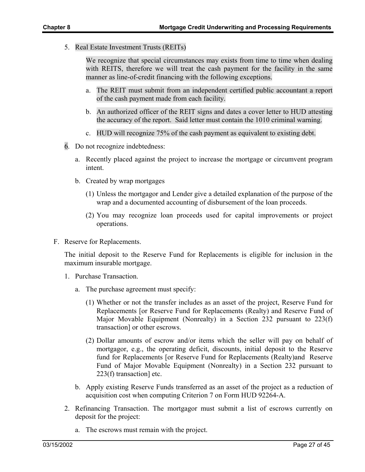5. Real Estate Investment Trusts (REITs)

We recognize that special circumstances may exists from time to time when dealing with REITS, therefore we will treat the cash payment for the facility in the same manner as line-of-credit financing with the following exceptions.

- a. The REIT must submit from an independent certified public accountant a report of the cash payment made from each facility.
- b. An authorized officer of the REIT signs and dates a cover letter to HUD attesting the accuracy of the report. Said letter must contain the 1010 criminal warning.
- c. HUD will recognize 75% of the cash payment as equivalent to existing debt.
- 6. Do not recognize indebtedness:
	- a. Recently placed against the project to increase the mortgage or circumvent program intent.
	- b. Created by wrap mortgages
		- (1) Unless the mortgagor and Lender give a detailed explanation of the purpose of the wrap and a documented accounting of disbursement of the loan proceeds.
		- (2) You may recognize loan proceeds used for capital improvements or project operations.
- F. Reserve for Replacements.

The initial deposit to the Reserve Fund for Replacements is eligible for inclusion in the maximum insurable mortgage.

- 1. Purchase Transaction.
	- a. The purchase agreement must specify:
		- (1) Whether or not the transfer includes as an asset of the project, Reserve Fund for Replacements [or Reserve Fund for Replacements (Realty) and Reserve Fund of Major Movable Equipment (Nonrealty) in a Section 232 pursuant to 223(f) transaction] or other escrows.
		- (2) Dollar amounts of escrow and/or items which the seller will pay on behalf of mortgagor, e.g., the operating deficit, discounts, initial deposit to the Reserve fund for Replacements [or Reserve Fund for Replacements (Realty)and Reserve Fund of Major Movable Equipment (Nonrealty) in a Section 232 pursuant to 223(f) transaction] etc.
	- b. Apply existing Reserve Funds transferred as an asset of the project as a reduction of acquisition cost when computing Criterion 7 on Form HUD 92264-A.
- 2. Refinancing Transaction. The mortgagor must submit a list of escrows currently on deposit for the project:
	- a. The escrows must remain with the project.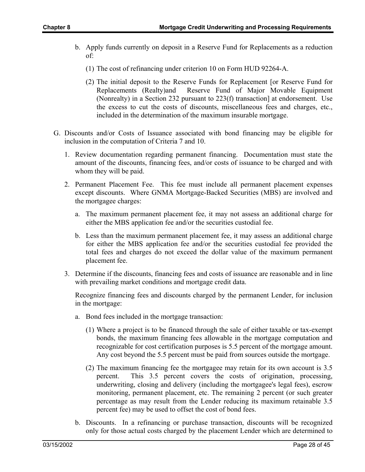- b. Apply funds currently on deposit in a Reserve Fund for Replacements as a reduction of:
	- (1) The cost of refinancing under criterion 10 on Form HUD 92264-A.
	- (2) The initial deposit to the Reserve Funds for Replacement [or Reserve Fund for Replacements (Realty)and Reserve Fund of Major Movable Equipment (Nonrealty) in a Section 232 pursuant to 223(f) transaction] at endorsement. Use the excess to cut the costs of discounts, miscellaneous fees and charges, etc., included in the determination of the maximum insurable mortgage.
- G. Discounts and/or Costs of Issuance associated with bond financing may be eligible for inclusion in the computation of Criteria 7 and 10.
	- 1. Review documentation regarding permanent financing. Documentation must state the amount of the discounts, financing fees, and/or costs of issuance to be charged and with whom they will be paid.
	- 2. Permanent Placement Fee. This fee must include all permanent placement expenses except discounts. Where GNMA Mortgage-Backed Securities (MBS) are involved and the mortgagee charges:
		- a. The maximum permanent placement fee, it may not assess an additional charge for either the MBS application fee and/or the securities custodial fee.
		- b. Less than the maximum permanent placement fee, it may assess an additional charge for either the MBS application fee and/or the securities custodial fee provided the total fees and charges do not exceed the dollar value of the maximum permanent placement fee.
	- 3. Determine if the discounts, financing fees and costs of issuance are reasonable and in line with prevailing market conditions and mortgage credit data.

Recognize financing fees and discounts charged by the permanent Lender, for inclusion in the mortgage:

- a. Bond fees included in the mortgage transaction:
	- (1) Where a project is to be financed through the sale of either taxable or tax-exempt bonds, the maximum financing fees allowable in the mortgage computation and recognizable for cost certification purposes is 5.5 percent of the mortgage amount. Any cost beyond the 5.5 percent must be paid from sources outside the mortgage.
	- (2) The maximum financing fee the mortgagee may retain for its own account is 3.5 percent. This 3.5 percent covers the costs of origination, processing, underwriting, closing and delivery (including the mortgagee's legal fees), escrow monitoring, permanent placement, etc. The remaining 2 percent (or such greater percentage as may result from the Lender reducing its maximum retainable 3.5 percent fee) may be used to offset the cost of bond fees.
- b. Discounts. In a refinancing or purchase transaction, discounts will be recognized only for those actual costs charged by the placement Lender which are determined to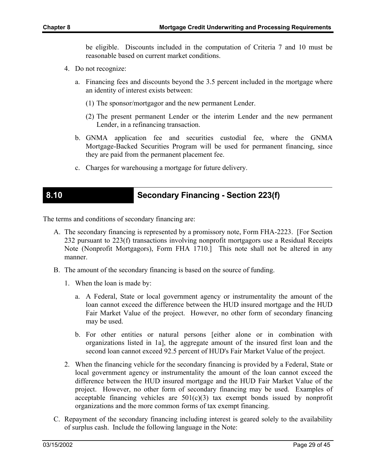be eligible. Discounts included in the computation of Criteria 7 and 10 must be reasonable based on current market conditions.

- 4. Do not recognize:
	- a. Financing fees and discounts beyond the 3.5 percent included in the mortgage where an identity of interest exists between:
		- (1) The sponsor/mortgagor and the new permanent Lender.
		- (2) The present permanent Lender or the interim Lender and the new permanent Lender, in a refinancing transaction.
	- b. GNMA application fee and securities custodial fee, where the GNMA Mortgage-Backed Securities Program will be used for permanent financing, since they are paid from the permanent placement fee.
	- c. Charges for warehousing a mortgage for future delivery.

### **8.10 Secondary Financing - Section 223(f)**

The terms and conditions of secondary financing are:

- A. The secondary financing is represented by a promissory note, Form FHA-2223. [For Section 232 pursuant to 223(f) transactions involving nonprofit mortgagors use a Residual Receipts Note (Nonprofit Mortgagors), Form FHA 1710.] This note shall not be altered in any manner.
- B. The amount of the secondary financing is based on the source of funding.
	- 1. When the loan is made by:
		- a. A Federal, State or local government agency or instrumentality the amount of the loan cannot exceed the difference between the HUD insured mortgage and the HUD Fair Market Value of the project. However, no other form of secondary financing may be used.
		- b. For other entities or natural persons [either alone or in combination with organizations listed in 1a], the aggregate amount of the insured first loan and the second loan cannot exceed 92.5 percent of HUD's Fair Market Value of the project.
	- 2. When the financing vehicle for the secondary financing is provided by a Federal, State or local government agency or instrumentality the amount of the loan cannot exceed the difference between the HUD insured mortgage and the HUD Fair Market Value of the project. However, no other form of secondary financing may be used. Examples of acceptable financing vehicles are  $501(c)(3)$  tax exempt bonds issued by nonprofit organizations and the more common forms of tax exempt financing.
- C. Repayment of the secondary financing including interest is geared solely to the availability of surplus cash. Include the following language in the Note: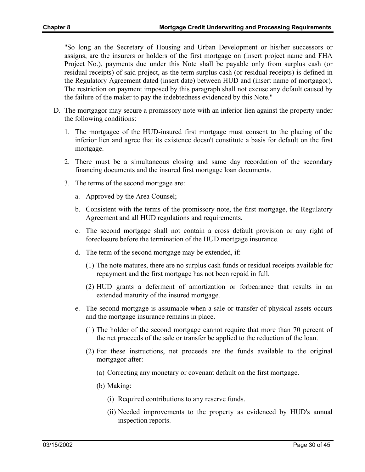"So long an the Secretary of Housing and Urban Development or his/her successors or assigns, are the insurers or holders of the first mortgage on (insert project name and FHA Project No.), payments due under this Note shall be payable only from surplus cash (or residual receipts) of said project, as the term surplus cash (or residual receipts) is defined in the Regulatory Agreement dated (insert date) between HUD and (insert name of mortgagor). The restriction on payment imposed by this paragraph shall not excuse any default caused by the failure of the maker to pay the indebtedness evidenced by this Note."

- D. The mortgagor may secure a promissory note with an inferior lien against the property under the following conditions:
	- 1. The mortgagee of the HUD-insured first mortgage must consent to the placing of the inferior lien and agree that its existence doesn't constitute a basis for default on the first mortgage.
	- 2. There must be a simultaneous closing and same day recordation of the secondary financing documents and the insured first mortgage loan documents.
	- 3. The terms of the second mortgage are:
		- a. Approved by the Area Counsel;
		- b. Consistent with the terms of the promissory note, the first mortgage, the Regulatory Agreement and all HUD regulations and requirements.
		- c. The second mortgage shall not contain a cross default provision or any right of foreclosure before the termination of the HUD mortgage insurance.
		- d. The term of the second mortgage may be extended, if:
			- (1) The note matures, there are no surplus cash funds or residual receipts available for repayment and the first mortgage has not been repaid in full.
			- (2) HUD grants a deferment of amortization or forbearance that results in an extended maturity of the insured mortgage.
		- e. The second mortgage is assumable when a sale or transfer of physical assets occurs and the mortgage insurance remains in place.
			- (1) The holder of the second mortgage cannot require that more than 70 percent of the net proceeds of the sale or transfer be applied to the reduction of the loan.
			- (2) For these instructions, net proceeds are the funds available to the original mortgagor after:
				- (a) Correcting any monetary or covenant default on the first mortgage.
				- (b) Making:
					- (i) Required contributions to any reserve funds.
					- (ii) Needed improvements to the property as evidenced by HUD's annual inspection reports.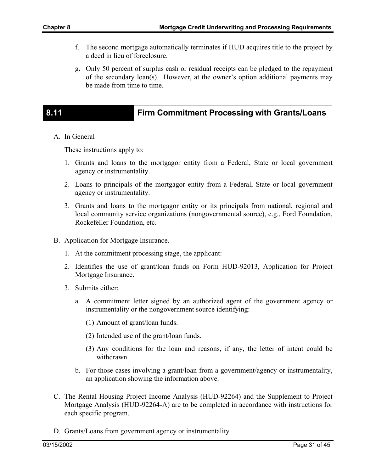- f. The second mortgage automatically terminates if HUD acquires title to the project by a deed in lieu of foreclosure.
- g. Only 50 percent of surplus cash or residual receipts can be pledged to the repayment of the secondary loan(s). However, at the owner's option additional payments may be made from time to time.

# **8.11 Firm Commitment Processing with Grants/Loans**

A. In General

These instructions apply to:

- 1. Grants and loans to the mortgagor entity from a Federal, State or local government agency or instrumentality.
- 2. Loans to principals of the mortgagor entity from a Federal, State or local government agency or instrumentality.
- 3. Grants and loans to the mortgagor entity or its principals from national, regional and local community service organizations (nongovernmental source), e.g., Ford Foundation, Rockefeller Foundation, etc.
- B. Application for Mortgage Insurance.
	- 1. At the commitment processing stage, the applicant:
	- 2. Identifies the use of grant/loan funds on Form HUD-92013, Application for Project Mortgage Insurance.
	- 3. Submits either:
		- a. A commitment letter signed by an authorized agent of the government agency or instrumentality or the nongovernment source identifying:
			- (1) Amount of grant/loan funds.
			- (2) Intended use of the grant/loan funds.
			- (3) Any conditions for the loan and reasons, if any, the letter of intent could be withdrawn.
		- b. For those cases involving a grant/loan from a government/agency or instrumentality, an application showing the information above.
- C. The Rental Housing Project Income Analysis (HUD-92264) and the Supplement to Project Mortgage Analysis (HUD-92264-A) are to be completed in accordance with instructions for each specific program.
- D. Grants/Loans from government agency or instrumentality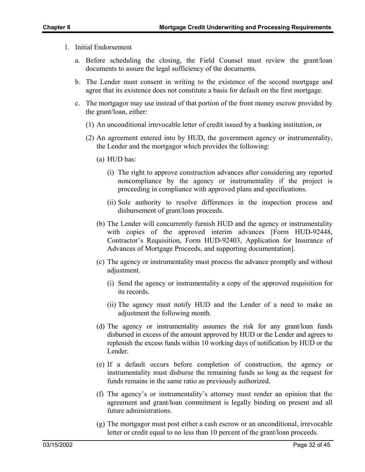- 1. Initial Endorsement
	- a. Before scheduling the closing, the Field Counsel must review the grant/loan documents to assure the legal sufficiency of the documents.
	- b. The Lender must consent in writing to the existence of the second mortgage and agree that its existence does not constitute a basis for default on the first mortgage.
	- c. The mortgagor may use instead of that portion of the front money escrow provided by the grant/loan, either:
		- (1) An unconditional irrevocable letter of credit issued by a banking institution, or
		- (2) An agreement entered into by HUD, the government agency or instrumentality, the Lender and the mortgagor which provides the following:
			- (a) HUD has:
				- (i) The right to approve construction advances after considering any reported noncompliance by the agency or instrumentality if the project is proceeding in compliance with approved plans and specifications.
				- (ii) Sole authority to resolve differences in the inspection process and disbursement of grant/loan proceeds.
			- (b) The Lender will concurrently furnish HUD and the agency or instrumentality with copies of the approved interim advances [Form HUD-92448, Contractor's Requisition, Form HUD-92403, Application for Insurance of Advances of Mortgage Proceeds, and supporting documentation].
			- (c) The agency or instrumentality must process the advance promptly and without adjustment.
				- (i) Send the agency or instrumentality a copy of the approved requisition for its records.
				- (ii) The agency must notify HUD and the Lender of a need to make an adjustment the following month.
			- (d) The agency or instrumentality assumes the risk for any grant/loan funds disbursed in excess of the amount approved by HUD or the Lender and agrees to replenish the excess funds within 10 working days of notification by HUD or the Lender.
			- (e) If a default occurs before completion of construction, the agency or instrumentality must disburse the remaining funds so long as the request for funds remains in the same ratio as previously authorized.
			- (f) The agency's or instrumentality's attorney must render an opinion that the agreement and grant/loan commitment is legally binding on present and all future administrations.
			- (g) The mortgagor must post either a cash escrow or an unconditional, irrevocable letter or credit equal to no less than 10 percent of the grant/loan proceeds.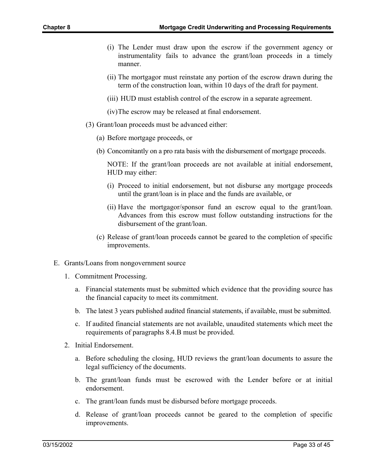- (i) The Lender must draw upon the escrow if the government agency or instrumentality fails to advance the grant/loan proceeds in a timely manner.
- (ii) The mortgagor must reinstate any portion of the escrow drawn during the term of the construction loan, within 10 days of the draft for payment.
- (iii) HUD must establish control of the escrow in a separate agreement.
- (iv) The escrow may be released at final endorsement.
- (3) Grant/loan proceeds must be advanced either:
	- (a) Before mortgage proceeds, or
	- (b) Concomitantly on a pro rata basis with the disbursement of mortgage proceeds.

NOTE: If the grant/loan proceeds are not available at initial endorsement, HUD may either:

- (i) Proceed to initial endorsement, but not disburse any mortgage proceeds until the grant/loan is in place and the funds are available, or
- (ii) Have the mortgagor/sponsor fund an escrow equal to the grant/loan. Advances from this escrow must follow outstanding instructions for the disbursement of the grant/loan.
- (c) Release of grant/loan proceeds cannot be geared to the completion of specific improvements.
- E. Grants/Loans from nongovernment source
	- 1. Commitment Processing.
		- a. Financial statements must be submitted which evidence that the providing source has the financial capacity to meet its commitment.
		- b. The latest 3 years published audited financial statements, if available, must be submitted.
		- c. If audited financial statements are not available, unaudited statements which meet the requirements of paragraphs 8.4.B must be provided.
	- 2. Initial Endorsement.
		- a. Before scheduling the closing, HUD reviews the grant/loan documents to assure the legal sufficiency of the documents.
		- b. The grant/loan funds must be escrowed with the Lender before or at initial endorsement.
		- c. The grant/loan funds must be disbursed before mortgage proceeds.
		- d. Release of grant/loan proceeds cannot be geared to the completion of specific improvements.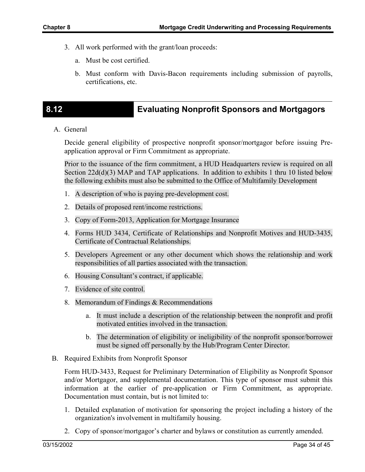- 3. All work performed with the grant/loan proceeds:
	- a. Must be cost certified.
	- b. Must conform with Davis-Bacon requirements including submission of payrolls, certifications, etc.

### **8.12 Evaluating Nonprofit Sponsors and Mortgagors**

A. General

Decide general eligibility of prospective nonprofit sponsor/mortgagor before issuing Preapplication approval or Firm Commitment as appropriate.

Prior to the issuance of the firm commitment, a HUD Headquarters review is required on all Section  $22d(d)(3)$  MAP and TAP applications. In addition to exhibits 1 thru 10 listed below the following exhibits must also be submitted to the Office of Multifamily Development

- 1. A description of who is paying pre-development cost.
- 2. Details of proposed rent/income restrictions.
- 3. Copy of Form-2013, Application for Mortgage Insurance
- 4. Forms HUD 3434, Certificate of Relationships and Nonprofit Motives and HUD-3435, Certificate of Contractual Relationships.
- 5. Developers Agreement or any other document which shows the relationship and work responsibilities of all parties associated with the transaction.
- 6. Housing Consultant's contract, if applicable.
- 7. Evidence of site control.
- 8. Memorandum of Findings & Recommendations
	- a. It must include a description of the relationship between the nonprofit and profit motivated entities involved in the transaction.
	- b. The determination of eligibility or ineligibility of the nonprofit sponsor/borrower must be signed off personally by the Hub/Program Center Director.
- B. Required Exhibits from Nonprofit Sponsor

Form HUD-3433, Request for Preliminary Determination of Eligibility as Nonprofit Sponsor and/or Mortgagor, and supplemental documentation. This type of sponsor must submit this information at the earlier of pre-application or Firm Commitment, as appropriate. Documentation must contain, but is not limited to:

- 1. Detailed explanation of motivation for sponsoring the project including a history of the organization's involvement in multifamily housing.
- 2. Copy of sponsor/mortgagor's charter and bylaws or constitution as currently amended.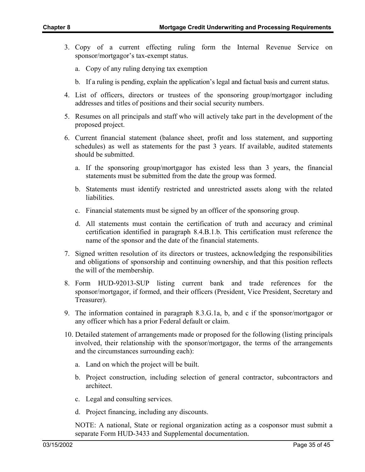- 3. Copy of a current effecting ruling form the Internal Revenue Service on sponsor/mortgagor's tax-exempt status.
	- a. Copy of any ruling denying tax exemption
	- b. If a ruling is pending, explain the application's legal and factual basis and current status.
- 4. List of officers, directors or trustees of the sponsoring group/mortgagor including addresses and titles of positions and their social security numbers.
- 5. Resumes on all principals and staff who will actively take part in the development of the proposed project.
- 6. Current financial statement (balance sheet, profit and loss statement, and supporting schedules) as well as statements for the past 3 years. If available, audited statements should be submitted.
	- a. If the sponsoring group/mortgagor has existed less than 3 years, the financial statements must be submitted from the date the group was formed.
	- b. Statements must identify restricted and unrestricted assets along with the related liabilities.
	- c. Financial statements must be signed by an officer of the sponsoring group.
	- d. All statements must contain the certification of truth and accuracy and criminal certification identified in paragraph 8.4.B.1.b. This certification must reference the name of the sponsor and the date of the financial statements.
- 7. Signed written resolution of its directors or trustees, acknowledging the responsibilities and obligations of sponsorship and continuing ownership, and that this position reflects the will of the membership.
- 8. Form HUD-92013-SUP listing current bank and trade references for the sponsor/mortgagor, if formed, and their officers (President, Vice President, Secretary and Treasurer).
- 9. The information contained in paragraph 8.3.G.1a, b, and c if the sponsor/mortgagor or any officer which has a prior Federal default or claim.
- 10. Detailed statement of arrangements made or proposed for the following (listing principals involved, their relationship with the sponsor/mortgagor, the terms of the arrangements and the circumstances surrounding each):
	- a. Land on which the project will be built.
	- b. Project construction, including selection of general contractor, subcontractors and architect.
	- c. Legal and consulting services.
	- d. Project financing, including any discounts.

NOTE: A national, State or regional organization acting as a cosponsor must submit a separate Form HUD-3433 and Supplemental documentation.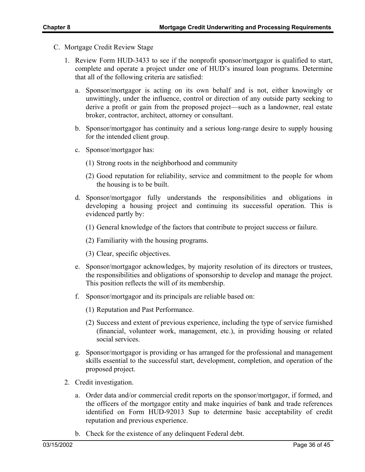- C. Mortgage Credit Review Stage
	- 1. Review Form HUD-3433 to see if the nonprofit sponsor/mortgagor is qualified to start, complete and operate a project under one of HUD's insured loan programs. Determine that all of the following criteria are satisfied:
		- a. Sponsor/mortgagor is acting on its own behalf and is not, either knowingly or unwittingly, under the influence, control or direction of any outside party seeking to derive a profit or gain from the proposed project—such as a landowner, real estate broker, contractor, architect, attorney or consultant.
		- b. Sponsor/mortgagor has continuity and a serious long-range desire to supply housing for the intended client group.
		- c. Sponsor/mortgagor has:
			- (1) Strong roots in the neighborhood and community
			- (2) Good reputation for reliability, service and commitment to the people for whom the housing is to be built.
		- d. Sponsor/mortgagor fully understands the responsibilities and obligations in developing a housing project and continuing its successful operation. This is evidenced partly by:
			- (1) General knowledge of the factors that contribute to project success or failure.
			- (2) Familiarity with the housing programs.
			- (3) Clear, specific objectives.
		- e. Sponsor/mortgagor acknowledges, by majority resolution of its directors or trustees, the responsibilities and obligations of sponsorship to develop and manage the project. This position reflects the will of its membership.
		- f. Sponsor/mortgagor and its principals are reliable based on:
			- (1) Reputation and Past Performance.
			- (2) Success and extent of previous experience, including the type of service furnished (financial, volunteer work, management, etc.), in providing housing or related social services.
		- g. Sponsor/mortgagor is providing or has arranged for the professional and management skills essential to the successful start, development, completion, and operation of the proposed project.
	- 2. Credit investigation.
		- a. Order data and/or commercial credit reports on the sponsor/mortgagor, if formed, and the officers of the mortgagor entity and make inquiries of bank and trade references identified on Form HUD-92013 Sup to determine basic acceptability of credit reputation and previous experience.
		- b. Check for the existence of any delinquent Federal debt.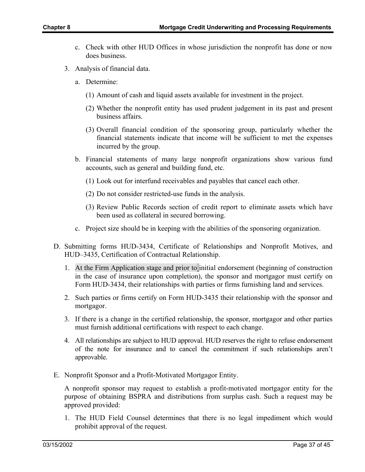- c. Check with other HUD Offices in whose jurisdiction the nonprofit has done or now does business.
- 3. Analysis of financial data.
	- a. Determine:
		- (1) Amount of cash and liquid assets available for investment in the project.
		- (2) Whether the nonprofit entity has used prudent judgement in its past and present business affairs.
		- (3) Overall financial condition of the sponsoring group, particularly whether the financial statements indicate that income will be sufficient to met the expenses incurred by the group.
	- b. Financial statements of many large nonprofit organizations show various fund accounts, such as general and building fund, etc.
		- (1) Look out for interfund receivables and payables that cancel each other.
		- (2) Do not consider restricted-use funds in the analysis.
		- (3) Review Public Records section of credit report to eliminate assets which have been used as collateral in secured borrowing.
	- c. Project size should be in keeping with the abilities of the sponsoring organization.
- D. Submitting forms HUD-3434, Certificate of Relationships and Nonprofit Motives, and HUD–3435, Certification of Contractual Relationship.
	- 1. At the Firm Application stage and prior to initial endorsement (beginning of construction in the case of insurance upon completion), the sponsor and mortgagor must certify on Form HUD-3434, their relationships with parties or firms furnishing land and services.
	- 2. Such parties or firms certify on Form HUD-3435 their relationship with the sponsor and mortgagor.
	- 3. If there is a change in the certified relationship, the sponsor, mortgagor and other parties must furnish additional certifications with respect to each change.
	- 4. All relationships are subject to HUD approval. HUD reserves the right to refuse endorsement of the note for insurance and to cancel the commitment if such relationships aren't approvable.
- E. Nonprofit Sponsor and a Profit-Motivated Mortgagor Entity.

A nonprofit sponsor may request to establish a profit-motivated mortgagor entity for the purpose of obtaining BSPRA and distributions from surplus cash. Such a request may be approved provided:

1. The HUD Field Counsel determines that there is no legal impediment which would prohibit approval of the request.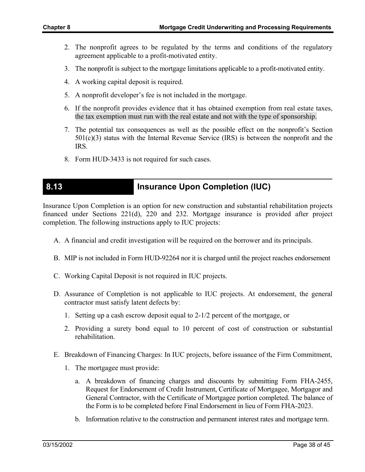- 2. The nonprofit agrees to be regulated by the terms and conditions of the regulatory agreement applicable to a profit-motivated entity.
- 3. The nonprofit is subject to the mortgage limitations applicable to a profit-motivated entity.
- 4. A working capital deposit is required.
- 5. A nonprofit developer's fee is not included in the mortgage.
- 6. If the nonprofit provides evidence that it has obtained exemption from real estate taxes, the tax exemption must run with the real estate and not with the type of sponsorship.
- 7. The potential tax consequences as well as the possible effect on the nonprofit's Section 501(c)(3) status with the Internal Revenue Service (IRS) is between the nonprofit and the IRS.
- 8. Form HUD-3433 is not required for such cases.

### **8.13 Insurance Upon Completion (IUC)**

Insurance Upon Completion is an option for new construction and substantial rehabilitation projects financed under Sections 221(d), 220 and 232. Mortgage insurance is provided after project completion. The following instructions apply to IUC projects:

- A. A financial and credit investigation will be required on the borrower and its principals.
- B. MIP is not included in Form HUD-92264 nor it is charged until the project reaches endorsement
- C. Working Capital Deposit is not required in IUC projects.
- D. Assurance of Completion is not applicable to IUC projects. At endorsement, the general contractor must satisfy latent defects by:
	- 1. Setting up a cash escrow deposit equal to 2-1/2 percent of the mortgage, or
	- 2. Providing a surety bond equal to 10 percent of cost of construction or substantial rehabilitation.
- E. Breakdown of Financing Charges: In IUC projects, before issuance of the Firm Commitment,
	- 1. The mortgagee must provide:
		- a. A breakdown of financing charges and discounts by submitting Form FHA-2455, Request for Endorsement of Credit Instrument, Certificate of Mortgagee, Mortgagor and General Contractor, with the Certificate of Mortgagee portion completed. The balance of the Form is to be completed before Final Endorsement in lieu of Form FHA-2023.
		- b. Information relative to the construction and permanent interest rates and mortgage term.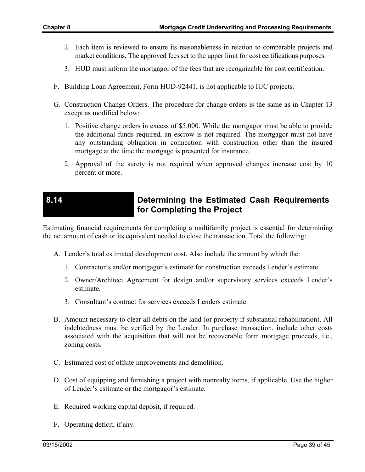- 2. Each item is reviewed to ensure its reasonableness in relation to comparable projects and market conditions. The approved fees set to the upper limit for cost certifications purposes.
- 3. HUD must inform the mortgagor of the fees that are recognizable for cost certification.
- F. Building Loan Agreement, Form HUD-92441, is not applicable to IUC projects.
- G. Construction Change Orders. The procedure for change orders is the same as in Chapter 13 except as modified below:
	- 1. Positive change orders in excess of \$5,000. While the mortgagor must be able to provide the additional funds required, an escrow is not required. The mortgagor must not have any outstanding obligation in connection with construction other than the insured mortgage at the time the mortgage is presented for insurance.
	- 2. Approval of the surety is not required when approved changes increase cost by 10 percent or more.

### **8.14 Determining the Estimated Cash Requirements for Completing the Project**

Estimating financial requirements for completing a multifamily project is essential for determining the net amount of cash or its equivalent needed to close the transaction. Total the following:

- A. Lender's total estimated development cost. Also include the amount by which the:
	- 1. Contractor's and/or mortgagor's estimate for construction exceeds Lender's estimate.
	- 2. Owner/Architect Agreement for design and/or supervisory services exceeds Lender's estimate.
	- 3. Consultant's contract for services exceeds Lenders estimate.
- B. Amount necessary to clear all debts on the land (or property if substantial rehabilitation). All indebtedness must be verified by the Lender. In purchase transaction, include other costs associated with the acquisition that will not be recoverable form mortgage proceeds, i.e., zoning costs.
- C. Estimated cost of offsite improvements and demolition.
- D. Cost of equipping and furnishing a project with nonrealty items, if applicable. Use the higher of Lender's estimate or the mortgagor's estimate.
- E. Required working capital deposit, if required.
- F. Operating deficit, if any.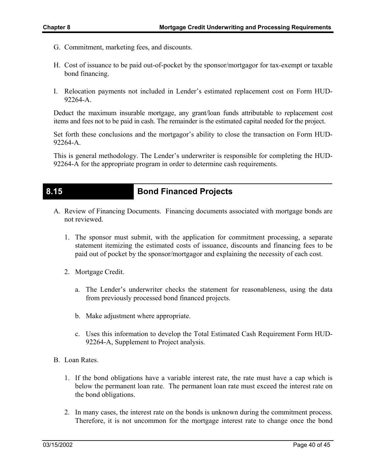- G. Commitment, marketing fees, and discounts.
- H. Cost of issuance to be paid out-of-pocket by the sponsor/mortgagor for tax-exempt or taxable bond financing.
- I. Relocation payments not included in Lender's estimated replacement cost on Form HUD-92264-A.

Deduct the maximum insurable mortgage, any grant/loan funds attributable to replacement cost items and fees not to be paid in cash. The remainder is the estimated capital needed for the project.

Set forth these conclusions and the mortgagor's ability to close the transaction on Form HUD-92264-A.

This is general methodology. The Lender's underwriter is responsible for completing the HUD-92264-A for the appropriate program in order to determine cash requirements.

### **8.15 Bond Financed Projects**

- A. Review of Financing Documents. Financing documents associated with mortgage bonds are not reviewed.
	- 1. The sponsor must submit, with the application for commitment processing, a separate statement itemizing the estimated costs of issuance, discounts and financing fees to be paid out of pocket by the sponsor/mortgagor and explaining the necessity of each cost.
	- 2. Mortgage Credit.
		- a. The Lender's underwriter checks the statement for reasonableness, using the data from previously processed bond financed projects.
		- b. Make adjustment where appropriate.
		- c. Uses this information to develop the Total Estimated Cash Requirement Form HUD-92264-A, Supplement to Project analysis.
- B. Loan Rates.
	- 1. If the bond obligations have a variable interest rate, the rate must have a cap which is below the permanent loan rate. The permanent loan rate must exceed the interest rate on the bond obligations.
	- 2. In many cases, the interest rate on the bonds is unknown during the commitment process. Therefore, it is not uncommon for the mortgage interest rate to change once the bond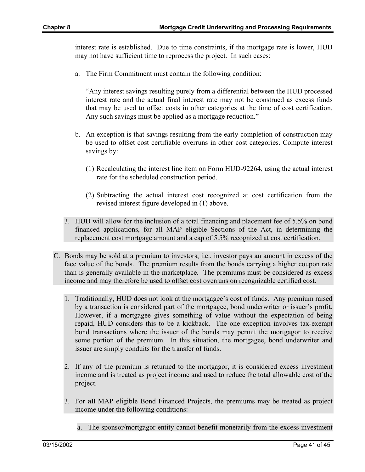interest rate is established. Due to time constraints, if the mortgage rate is lower, HUD may not have sufficient time to reprocess the project. In such cases:

a. The Firm Commitment must contain the following condition:

"Any interest savings resulting purely from a differential between the HUD processed interest rate and the actual final interest rate may not be construed as excess funds that may be used to offset costs in other categories at the time of cost certification. Any such savings must be applied as a mortgage reduction."

- b. An exception is that savings resulting from the early completion of construction may be used to offset cost certifiable overruns in other cost categories. Compute interest savings by:
	- (1) Recalculating the interest line item on Form HUD-92264, using the actual interest rate for the scheduled construction period.
	- (2) Subtracting the actual interest cost recognized at cost certification from the revised interest figure developed in (1) above.
- 3. HUD will allow for the inclusion of a total financing and placement fee of 5.5% on bond financed applications, for all MAP eligible Sections of the Act, in determining the replacement cost mortgage amount and a cap of 5.5% recognized at cost certification.
- C. Bonds may be sold at a premium to investors, i.e., investor pays an amount in excess of the face value of the bonds. The premium results from the bonds carrying a higher coupon rate than is generally available in the marketplace. The premiums must be considered as excess income and may therefore be used to offset cost overruns on recognizable certified cost.
	- 1. Traditionally, HUD does not look at the mortgagee's cost of funds. Any premium raised by a transaction is considered part of the mortgagee, bond underwriter or issuer's profit. However, if a mortgagee gives something of value without the expectation of being repaid, HUD considers this to be a kickback. The one exception involves tax-exempt bond transactions where the issuer of the bonds may permit the mortgagor to receive some portion of the premium. In this situation, the mortgagee, bond underwriter and issuer are simply conduits for the transfer of funds.
	- 2. If any of the premium is returned to the mortgagor, it is considered excess investment income and is treated as project income and used to reduce the total allowable cost of the project.
	- 3. For **all** MAP eligible Bond Financed Projects, the premiums may be treated as project income under the following conditions:
		- a. The sponsor/mortgagor entity cannot benefit monetarily from the excess investment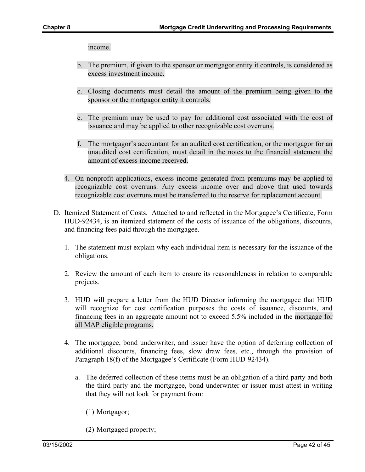income.

- b. The premium, if given to the sponsor or mortgagor entity it controls, is considered as excess investment income.
- c. Closing documents must detail the amount of the premium being given to the sponsor or the mortgagor entity it controls.
- e. The premium may be used to pay for additional cost associated with the cost of issuance and may be applied to other recognizable cost overruns.
- f. The mortgagor's accountant for an audited cost certification, or the mortgagor for an unaudited cost certification, must detail in the notes to the financial statement the amount of excess income received.
- 4. On nonprofit applications, excess income generated from premiums may be applied to recognizable cost overruns. Any excess income over and above that used towards recognizable cost overruns must be transferred to the reserve for replacement account.
- D. Itemized Statement of Costs. Attached to and reflected in the Mortgagee's Certificate, Form HUD-92434, is an itemized statement of the costs of issuance of the obligations, discounts, and financing fees paid through the mortgagee.
	- 1. The statement must explain why each individual item is necessary for the issuance of the obligations.
	- 2. Review the amount of each item to ensure its reasonableness in relation to comparable projects.
	- 3. HUD will prepare a letter from the HUD Director informing the mortgagee that HUD will recognize for cost certification purposes the costs of issuance, discounts, and financing fees in an aggregate amount not to exceed 5.5% included in the mortgage for all MAP eligible programs.
	- 4. The mortgagee, bond underwriter, and issuer have the option of deferring collection of additional discounts, financing fees, slow draw fees, etc., through the provision of Paragraph 18(f) of the Mortgagee's Certificate (Form HUD-92434).
		- a. The deferred collection of these items must be an obligation of a third party and both the third party and the mortgagee, bond underwriter or issuer must attest in writing that they will not look for payment from:
			- (1) Mortgagor;
			- (2) Mortgaged property;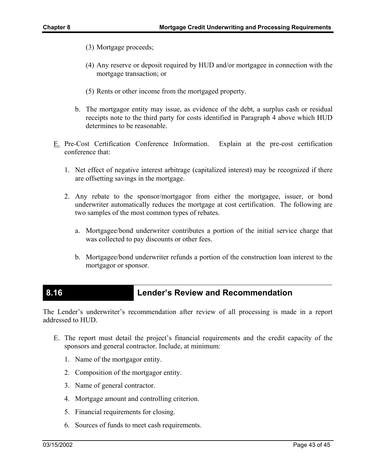- (3) Mortgage proceeds;
- (4) Any reserve or deposit required by HUD and/or mortgagee in connection with the mortgage transaction; or
- (5) Rents or other income from the mortgaged property.
- b. The mortgagor entity may issue, as evidence of the debt, a surplus cash or residual receipts note to the third party for costs identified in Paragraph 4 above which HUD determines to be reasonable.
- E. Pre-Cost Certification Conference Information. Explain at the pre-cost certification conference that:
	- 1. Net effect of negative interest arbitrage (capitalized interest) may be recognized if there are offsetting savings in the mortgage.
	- 2. Any rebate to the sponsor/mortgagor from either the mortgagee, issuer, or bond underwriter automatically reduces the mortgage at cost certification. The following are two samples of the most common types of rebates.
		- a. Mortgagee/bond underwriter contributes a portion of the initial service charge that was collected to pay discounts or other fees.
		- b. Mortgagee/bond underwriter refunds a portion of the construction loan interest to the mortgagor or sponsor.

### **8.16 Lender's Review and Recommendation**

The Lender's underwriter's recommendation after review of all processing is made in a report addressed to HUD.

- E. The report must detail the project's financial requirements and the credit capacity of the sponsors and general contractor. Include, at minimum:
	- 1. Name of the mortgagor entity.
	- 2. Composition of the mortgagor entity.
	- 3. Name of general contractor.
	- 4. Mortgage amount and controlling criterion.
	- 5. Financial requirements for closing.
	- 6. Sources of funds to meet cash requirements.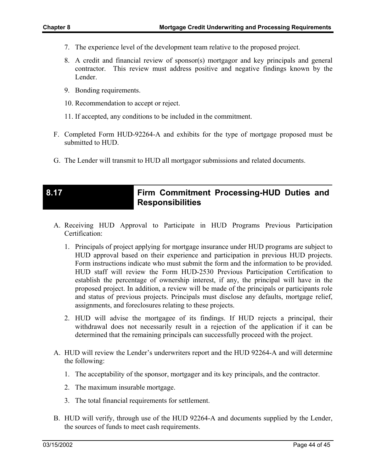- 7. The experience level of the development team relative to the proposed project.
- 8. A credit and financial review of sponsor(s) mortgagor and key principals and general contractor. This review must address positive and negative findings known by the Lender.
- 9. Bonding requirements.
- 10. Recommendation to accept or reject.
- 11. If accepted, any conditions to be included in the commitment.
- F. Completed Form HUD-92264-A and exhibits for the type of mortgage proposed must be submitted to HUD.
- G. The Lender will transmit to HUD all mortgagor submissions and related documents.

### **8.17 Firm Commitment Processing-HUD Duties and Responsibilities**

- A. Receiving HUD Approval to Participate in HUD Programs Previous Participation Certification:
	- 1. Principals of project applying for mortgage insurance under HUD programs are subject to HUD approval based on their experience and participation in previous HUD projects. Form instructions indicate who must submit the form and the information to be provided. HUD staff will review the Form HUD-2530 Previous Participation Certification to establish the percentage of ownership interest, if any, the principal will have in the proposed project. In addition, a review will be made of the principals or participants role and status of previous projects. Principals must disclose any defaults, mortgage relief, assignments, and foreclosures relating to these projects.
	- 2. HUD will advise the mortgagee of its findings. If HUD rejects a principal, their withdrawal does not necessarily result in a rejection of the application if it can be determined that the remaining principals can successfully proceed with the project.
- A. HUD will review the Lender's underwriters report and the HUD 92264-A and will determine the following:
	- 1. The acceptability of the sponsor, mortgager and its key principals, and the contractor.
	- 2. The maximum insurable mortgage.
	- 3. The total financial requirements for settlement.
- B. HUD will verify, through use of the HUD 92264-A and documents supplied by the Lender, the sources of funds to meet cash requirements.